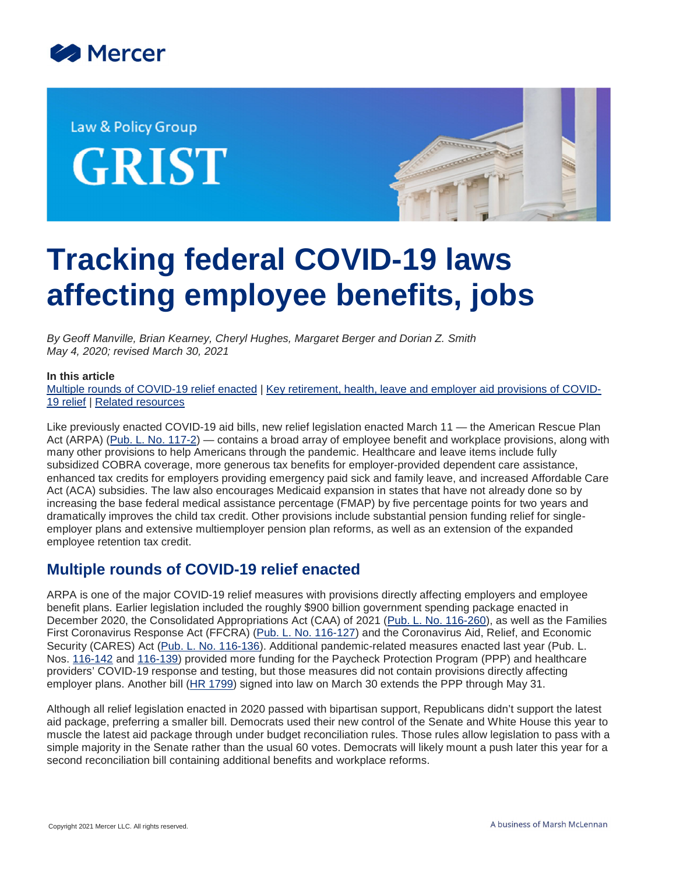

Law & Policy Group **GRIST** 



# **Tracking federal COVID-19 laws affecting employee benefits, jobs**

*By Geoff Manville, Brian Kearney, Cheryl Hughes, Margaret Berger and Dorian Z. Smith May 4, 2020; revised March 30, 2021*

#### **In this article**

[Multiple rounds of COVID-19 relief enacted](#page-0-0) | [Key retirement, health, leave and employer aid provisions of COVID-](#page-2-0)[19 relief](#page-2-0) | [Related resources](#page-10-0)

Like previously enacted COVID-19 aid bills, new relief legislation enacted March 11 — the American Rescue Plan Act (ARPA) ([Pub. L. No. 117-2](https://www.congress.gov/117/plaws/publ2/PLAW-117publ2.pdf)) — contains a broad array of employee benefit and workplace provisions, along with many other provisions to help Americans through the pandemic. Healthcare and leave items include fully subsidized COBRA coverage, more generous tax benefits for employer-provided dependent care assistance, enhanced tax credits for employers providing emergency paid sick and family leave, and increased Affordable Care Act (ACA) subsidies. The law also encourages Medicaid expansion in states that have not already done so by increasing the base federal medical assistance percentage (FMAP) by five percentage points for two years and dramatically improves the child tax credit. Other provisions include substantial pension funding relief for singleemployer plans and extensive multiemployer pension plan reforms, as well as an extension of the expanded employee retention tax credit.

## <span id="page-0-0"></span>**Multiple rounds of COVID-19 relief enacted**

ARPA is one of the major COVID-19 relief measures with provisions directly affecting employers and employee benefit plans. Earlier legislation included the roughly \$900 billion government spending package enacted in December 2020, the Consolidated Appropriations Act (CAA) of 2021 ([Pub. L. No. 116-260](https://www.congress.gov/116/plaws/publ260/PLAW-116publ260.pdf)), as well as the Families First Coronavirus Response Act (FFCRA) ([Pub. L. No. 116-127\)](https://www.congress.gov/116/plaws/publ127/PLAW-116publ127.pdf) and the Coronavirus Aid, Relief, and Economic Security (CARES) Act ([Pub. L. No. 116-136](https://www.congress.gov/116/plaws/publ136/PLAW-116publ136.pdf)). Additional pandemic-related measures enacted last year (Pub. L. Nos. [116-142](https://www.congress.gov/116/plaws/publ142/PLAW-116publ142.pdf) and [116-139](https://www.govinfo.gov/content/pkg/PLAW-116publ139/pdf/PLAW-116publ139.pdf)) provided more funding for the Paycheck Protection Program (PPP) and healthcare providers' COVID-19 response and testing, but those measures did not contain provisions directly affecting employer plans. Another bill ([HR 1799\)](https://www.congress.gov/117/bills/hr1799/BILLS-117hr1799enr.pdf) signed into law on March 30 extends the PPP through May 31.

Although all relief legislation enacted in 2020 passed with bipartisan support, Republicans didn't support the latest aid package, preferring a smaller bill. Democrats used their new control of the Senate and White House this year to muscle the latest aid package through under budget reconciliation rules. Those rules allow legislation to pass with a simple majority in the Senate rather than the usual 60 votes. Democrats will likely mount a push later this year for a second reconciliation bill containing additional benefits and workplace reforms.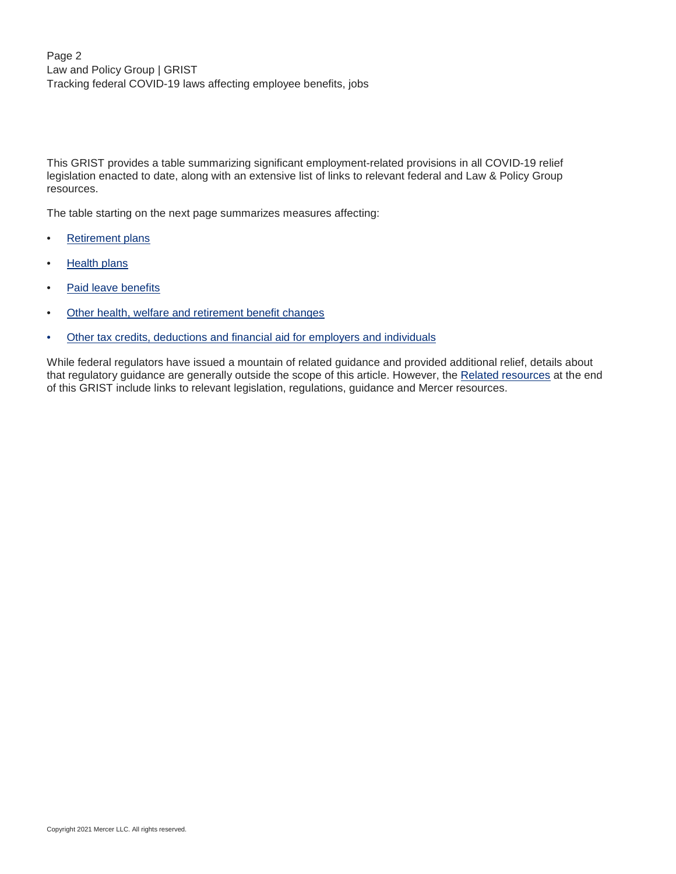Page 2 Law and Policy Group | GRIST Tracking federal COVID-19 laws affecting employee benefits, jobs

This GRIST provides a table summarizing significant employment-related provisions in all COVID-19 relief legislation enacted to date, along with an extensive list of links to relevant federal and Law & Policy Group resources.

The table starting on the next page summarizes measures affecting:

- [Retirement plans](#page-2-1)
- [Health plans](#page-5-0)
- [Paid leave benefits](#page-7-0)
- [Other health, welfare and retirement benefit changes](#page-8-0)
- [Other tax credits, deductions and financial aid for employers and individuals](#page-9-0)

While federal regulators have issued a mountain of related guidance and provided additional relief, details about that regulatory guidance are generally outside the scope of this article. However, the [Related resources](#page-10-0) at the end of this GRIST include links to relevant legislation, regulations, guidance and Mercer resources.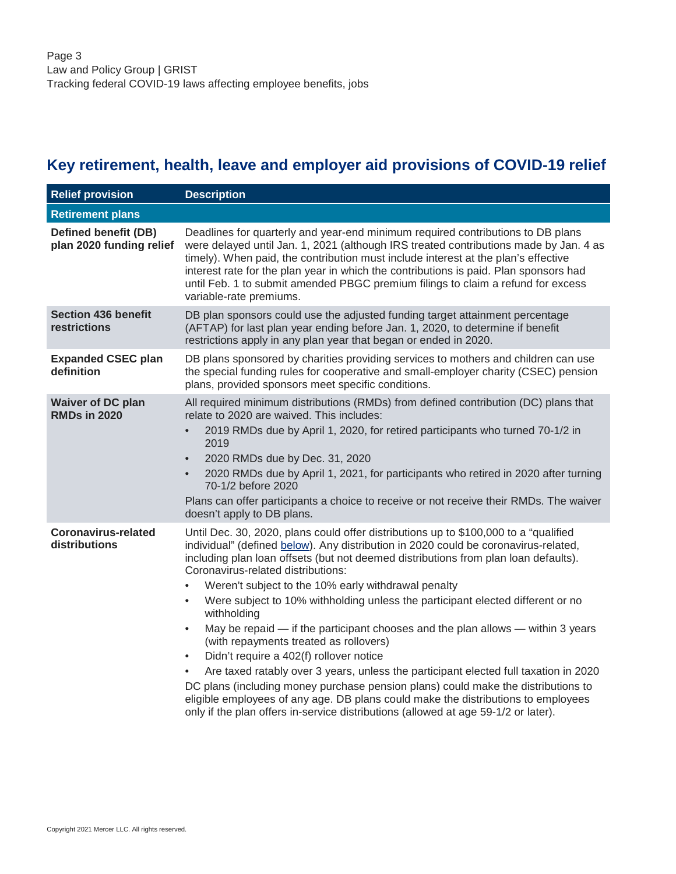# <span id="page-2-0"></span>**Key retirement, health, leave and employer aid provisions of COVID-19 relief**

<span id="page-2-1"></span>

| <b>Relief provision</b>                                 | <b>Description</b>                                                                                                                                                                                                                                                                                                                                                                                                                                                                                                                                                                                                                                                                                                                                                                                                                                                                                                                                                                                                                                    |
|---------------------------------------------------------|-------------------------------------------------------------------------------------------------------------------------------------------------------------------------------------------------------------------------------------------------------------------------------------------------------------------------------------------------------------------------------------------------------------------------------------------------------------------------------------------------------------------------------------------------------------------------------------------------------------------------------------------------------------------------------------------------------------------------------------------------------------------------------------------------------------------------------------------------------------------------------------------------------------------------------------------------------------------------------------------------------------------------------------------------------|
| <b>Retirement plans</b>                                 |                                                                                                                                                                                                                                                                                                                                                                                                                                                                                                                                                                                                                                                                                                                                                                                                                                                                                                                                                                                                                                                       |
| <b>Defined benefit (DB)</b><br>plan 2020 funding relief | Deadlines for quarterly and year-end minimum required contributions to DB plans<br>were delayed until Jan. 1, 2021 (although IRS treated contributions made by Jan. 4 as<br>timely). When paid, the contribution must include interest at the plan's effective<br>interest rate for the plan year in which the contributions is paid. Plan sponsors had<br>until Feb. 1 to submit amended PBGC premium filings to claim a refund for excess<br>variable-rate premiums.                                                                                                                                                                                                                                                                                                                                                                                                                                                                                                                                                                                |
| <b>Section 436 benefit</b><br>restrictions              | DB plan sponsors could use the adjusted funding target attainment percentage<br>(AFTAP) for last plan year ending before Jan. 1, 2020, to determine if benefit<br>restrictions apply in any plan year that began or ended in 2020.                                                                                                                                                                                                                                                                                                                                                                                                                                                                                                                                                                                                                                                                                                                                                                                                                    |
| <b>Expanded CSEC plan</b><br>definition                 | DB plans sponsored by charities providing services to mothers and children can use<br>the special funding rules for cooperative and small-employer charity (CSEC) pension<br>plans, provided sponsors meet specific conditions.                                                                                                                                                                                                                                                                                                                                                                                                                                                                                                                                                                                                                                                                                                                                                                                                                       |
| <b>Waiver of DC plan</b><br><b>RMDs in 2020</b>         | All required minimum distributions (RMDs) from defined contribution (DC) plans that<br>relate to 2020 are waived. This includes:<br>2019 RMDs due by April 1, 2020, for retired participants who turned 70-1/2 in<br>$\bullet$<br>2019<br>2020 RMDs due by Dec. 31, 2020<br>$\bullet$<br>2020 RMDs due by April 1, 2021, for participants who retired in 2020 after turning<br>$\bullet$<br>70-1/2 before 2020<br>Plans can offer participants a choice to receive or not receive their RMDs. The waiver<br>doesn't apply to DB plans.                                                                                                                                                                                                                                                                                                                                                                                                                                                                                                                |
| <b>Coronavirus-related</b><br>distributions             | Until Dec. 30, 2020, plans could offer distributions up to \$100,000 to a "qualified"<br>individual" (defined below). Any distribution in 2020 could be coronavirus-related,<br>including plan loan offsets (but not deemed distributions from plan loan defaults).<br>Coronavirus-related distributions:<br>Weren't subject to the 10% early withdrawal penalty<br>$\bullet$<br>Were subject to 10% withholding unless the participant elected different or no<br>$\bullet$<br>withholding<br>May be repaid — if the participant chooses and the plan allows — within 3 years<br>$\bullet$<br>(with repayments treated as rollovers)<br>Didn't require a 402(f) rollover notice<br>$\bullet$<br>Are taxed ratably over 3 years, unless the participant elected full taxation in 2020<br>DC plans (including money purchase pension plans) could make the distributions to<br>eligible employees of any age. DB plans could make the distributions to employees<br>only if the plan offers in-service distributions (allowed at age 59-1/2 or later). |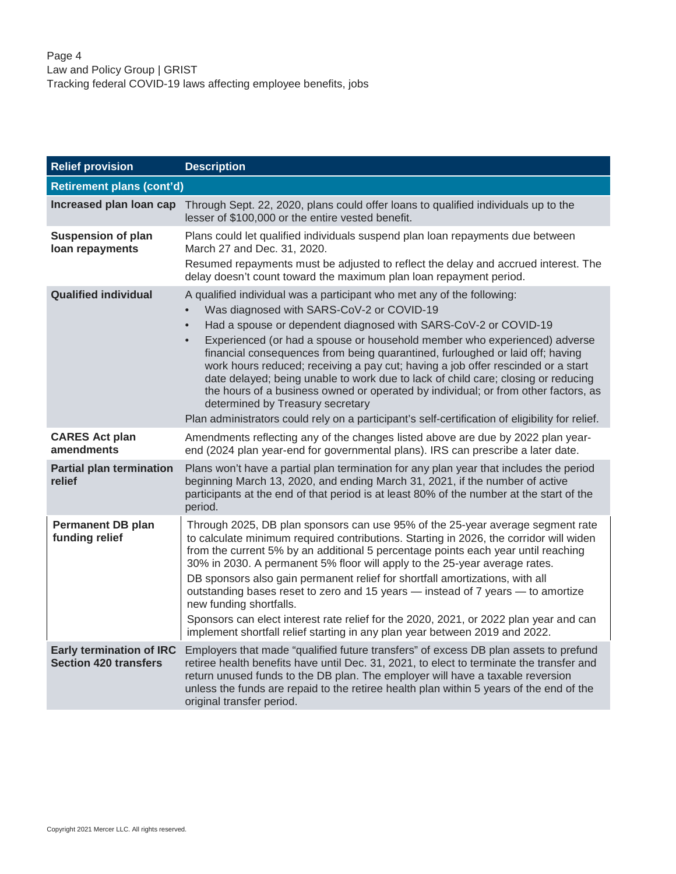<span id="page-3-0"></span>

| <b>Relief provision</b>                                         | <b>Description</b>                                                                                                                                                                                                                                                                                                                                                                                                                                                                                                                                                                                                                                                                                                                                         |
|-----------------------------------------------------------------|------------------------------------------------------------------------------------------------------------------------------------------------------------------------------------------------------------------------------------------------------------------------------------------------------------------------------------------------------------------------------------------------------------------------------------------------------------------------------------------------------------------------------------------------------------------------------------------------------------------------------------------------------------------------------------------------------------------------------------------------------------|
| <b>Retirement plans (cont'd)</b>                                |                                                                                                                                                                                                                                                                                                                                                                                                                                                                                                                                                                                                                                                                                                                                                            |
| Increased plan loan cap                                         | Through Sept. 22, 2020, plans could offer loans to qualified individuals up to the<br>lesser of \$100,000 or the entire vested benefit.                                                                                                                                                                                                                                                                                                                                                                                                                                                                                                                                                                                                                    |
| <b>Suspension of plan</b><br>loan repayments                    | Plans could let qualified individuals suspend plan loan repayments due between<br>March 27 and Dec. 31, 2020.<br>Resumed repayments must be adjusted to reflect the delay and accrued interest. The<br>delay doesn't count toward the maximum plan loan repayment period.                                                                                                                                                                                                                                                                                                                                                                                                                                                                                  |
| <b>Qualified individual</b>                                     | A qualified individual was a participant who met any of the following:<br>Was diagnosed with SARS-CoV-2 or COVID-19<br>Had a spouse or dependent diagnosed with SARS-CoV-2 or COVID-19<br>Experienced (or had a spouse or household member who experienced) adverse<br>financial consequences from being quarantined, furloughed or laid off; having<br>work hours reduced; receiving a pay cut; having a job offer rescinded or a start<br>date delayed; being unable to work due to lack of child care; closing or reducing<br>the hours of a business owned or operated by individual; or from other factors, as<br>determined by Treasury secretary<br>Plan administrators could rely on a participant's self-certification of eligibility for relief. |
| <b>CARES Act plan</b><br>amendments                             | Amendments reflecting any of the changes listed above are due by 2022 plan year-<br>end (2024 plan year-end for governmental plans). IRS can prescribe a later date.                                                                                                                                                                                                                                                                                                                                                                                                                                                                                                                                                                                       |
| <b>Partial plan termination</b><br>relief                       | Plans won't have a partial plan termination for any plan year that includes the period<br>beginning March 13, 2020, and ending March 31, 2021, if the number of active<br>participants at the end of that period is at least 80% of the number at the start of the<br>period.                                                                                                                                                                                                                                                                                                                                                                                                                                                                              |
| <b>Permanent DB plan</b><br>funding relief                      | Through 2025, DB plan sponsors can use 95% of the 25-year average segment rate<br>to calculate minimum required contributions. Starting in 2026, the corridor will widen<br>from the current 5% by an additional 5 percentage points each year until reaching<br>30% in 2030. A permanent 5% floor will apply to the 25-year average rates.<br>DB sponsors also gain permanent relief for shortfall amortizations, with all<br>outstanding bases reset to zero and 15 years - instead of 7 years - to amortize<br>new funding shortfalls.<br>Sponsors can elect interest rate relief for the 2020, 2021, or 2022 plan year and can<br>implement shortfall relief starting in any plan year between 2019 and 2022.                                          |
| <b>Early termination of IRC</b><br><b>Section 420 transfers</b> | Employers that made "qualified future transfers" of excess DB plan assets to prefund<br>retiree health benefits have until Dec. 31, 2021, to elect to terminate the transfer and<br>return unused funds to the DB plan. The employer will have a taxable reversion<br>unless the funds are repaid to the retiree health plan within 5 years of the end of the<br>original transfer period.                                                                                                                                                                                                                                                                                                                                                                 |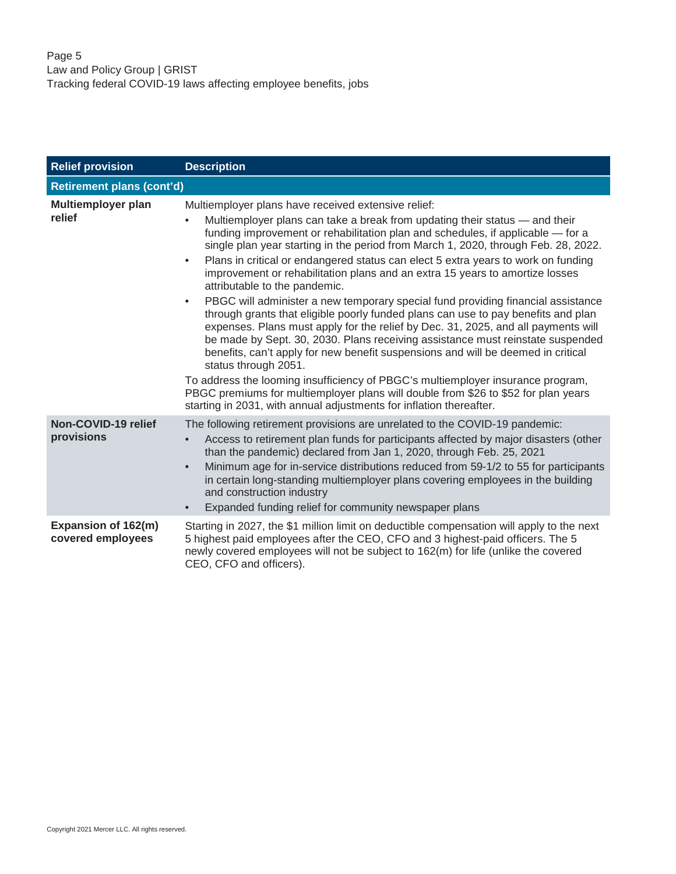| <b>Relief provision</b>                  | <b>Description</b>                                                                                                                                                                                                                                                                                                                                                                                                                                                                                                                                                                                                                                                                                                                                                                                                                                                                                                                                                                                                                                                                                                                                                                                                                                      |
|------------------------------------------|---------------------------------------------------------------------------------------------------------------------------------------------------------------------------------------------------------------------------------------------------------------------------------------------------------------------------------------------------------------------------------------------------------------------------------------------------------------------------------------------------------------------------------------------------------------------------------------------------------------------------------------------------------------------------------------------------------------------------------------------------------------------------------------------------------------------------------------------------------------------------------------------------------------------------------------------------------------------------------------------------------------------------------------------------------------------------------------------------------------------------------------------------------------------------------------------------------------------------------------------------------|
| <b>Retirement plans (cont'd)</b>         |                                                                                                                                                                                                                                                                                                                                                                                                                                                                                                                                                                                                                                                                                                                                                                                                                                                                                                                                                                                                                                                                                                                                                                                                                                                         |
| <b>Multiemployer plan</b><br>relief      | Multiemployer plans have received extensive relief:<br>Multiemployer plans can take a break from updating their status — and their<br>funding improvement or rehabilitation plan and schedules, if applicable - for a<br>single plan year starting in the period from March 1, 2020, through Feb. 28, 2022.<br>Plans in critical or endangered status can elect 5 extra years to work on funding<br>$\bullet$<br>improvement or rehabilitation plans and an extra 15 years to amortize losses<br>attributable to the pandemic.<br>PBGC will administer a new temporary special fund providing financial assistance<br>$\bullet$<br>through grants that eligible poorly funded plans can use to pay benefits and plan<br>expenses. Plans must apply for the relief by Dec. 31, 2025, and all payments will<br>be made by Sept. 30, 2030. Plans receiving assistance must reinstate suspended<br>benefits, can't apply for new benefit suspensions and will be deemed in critical<br>status through 2051.<br>To address the looming insufficiency of PBGC's multiemployer insurance program,<br>PBGC premiums for multiemployer plans will double from \$26 to \$52 for plan years<br>starting in 2031, with annual adjustments for inflation thereafter. |
| Non-COVID-19 relief<br>provisions        | The following retirement provisions are unrelated to the COVID-19 pandemic:<br>Access to retirement plan funds for participants affected by major disasters (other<br>than the pandemic) declared from Jan 1, 2020, through Feb. 25, 2021<br>Minimum age for in-service distributions reduced from 59-1/2 to 55 for participants<br>$\bullet$<br>in certain long-standing multiemployer plans covering employees in the building<br>and construction industry<br>Expanded funding relief for community newspaper plans                                                                                                                                                                                                                                                                                                                                                                                                                                                                                                                                                                                                                                                                                                                                  |
| Expansion of 162(m)<br>covered employees | Starting in 2027, the \$1 million limit on deductible compensation will apply to the next<br>5 highest paid employees after the CEO, CFO and 3 highest-paid officers. The 5<br>newly covered employees will not be subject to 162(m) for life (unlike the covered<br>CEO, CFO and officers).                                                                                                                                                                                                                                                                                                                                                                                                                                                                                                                                                                                                                                                                                                                                                                                                                                                                                                                                                            |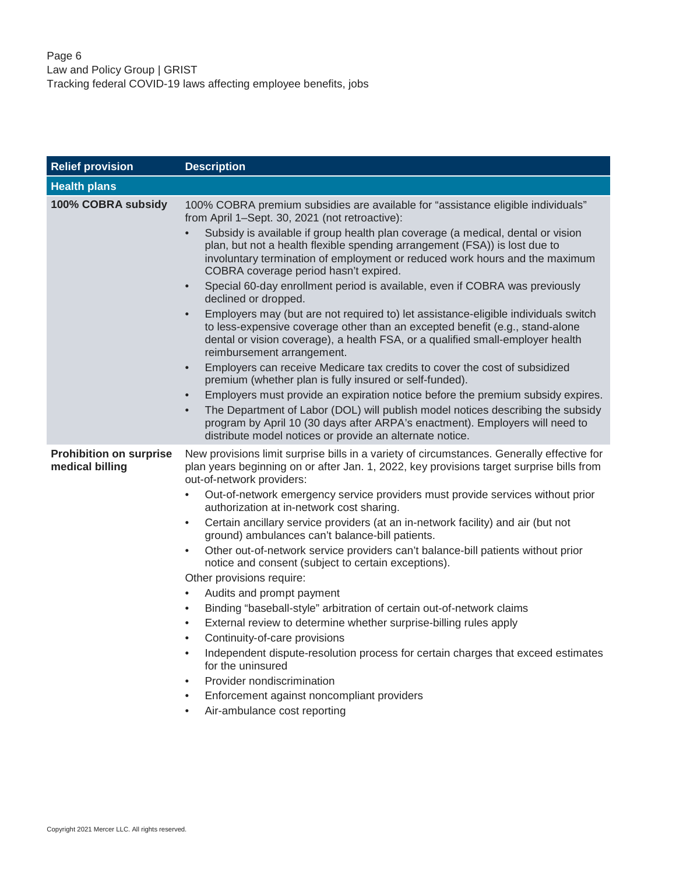<span id="page-5-0"></span>

| <b>Relief provision</b>                           | <b>Description</b>                                                                                                                                                                                                                                                                                                                       |
|---------------------------------------------------|------------------------------------------------------------------------------------------------------------------------------------------------------------------------------------------------------------------------------------------------------------------------------------------------------------------------------------------|
| <b>Health plans</b>                               |                                                                                                                                                                                                                                                                                                                                          |
| 100% COBRA subsidy                                | 100% COBRA premium subsidies are available for "assistance eligible individuals"<br>from April 1-Sept. 30, 2021 (not retroactive):                                                                                                                                                                                                       |
|                                                   | Subsidy is available if group health plan coverage (a medical, dental or vision<br>$\bullet$<br>plan, but not a health flexible spending arrangement (FSA)) is lost due to<br>involuntary termination of employment or reduced work hours and the maximum<br>COBRA coverage period hasn't expired.                                       |
|                                                   | Special 60-day enrollment period is available, even if COBRA was previously<br>$\bullet$<br>declined or dropped.                                                                                                                                                                                                                         |
|                                                   | Employers may (but are not required to) let assistance-eligible individuals switch<br>$\bullet$<br>to less-expensive coverage other than an excepted benefit (e.g., stand-alone<br>dental or vision coverage), a health FSA, or a qualified small-employer health<br>reimbursement arrangement.                                          |
|                                                   | Employers can receive Medicare tax credits to cover the cost of subsidized<br>$\bullet$<br>premium (whether plan is fully insured or self-funded).                                                                                                                                                                                       |
|                                                   | Employers must provide an expiration notice before the premium subsidy expires.<br>$\bullet$<br>The Department of Labor (DOL) will publish model notices describing the subsidy<br>$\bullet$<br>program by April 10 (30 days after ARPA's enactment). Employers will need to<br>distribute model notices or provide an alternate notice. |
| <b>Prohibition on surprise</b><br>medical billing | New provisions limit surprise bills in a variety of circumstances. Generally effective for<br>plan years beginning on or after Jan. 1, 2022, key provisions target surprise bills from<br>out-of-network providers:                                                                                                                      |
|                                                   | Out-of-network emergency service providers must provide services without prior<br>٠<br>authorization at in-network cost sharing.                                                                                                                                                                                                         |
|                                                   | Certain ancillary service providers (at an in-network facility) and air (but not<br>$\bullet$<br>ground) ambulances can't balance-bill patients.                                                                                                                                                                                         |
|                                                   | Other out-of-network service providers can't balance-bill patients without prior<br>٠<br>notice and consent (subject to certain exceptions).                                                                                                                                                                                             |
|                                                   | Other provisions require:                                                                                                                                                                                                                                                                                                                |
|                                                   | Audits and prompt payment<br>$\bullet$                                                                                                                                                                                                                                                                                                   |
|                                                   | Binding "baseball-style" arbitration of certain out-of-network claims<br>$\bullet$                                                                                                                                                                                                                                                       |
|                                                   | External review to determine whether surprise-billing rules apply<br>$\bullet$<br>Continuity-of-care provisions<br>$\bullet$                                                                                                                                                                                                             |
|                                                   | Independent dispute-resolution process for certain charges that exceed estimates<br>$\bullet$<br>for the uninsured                                                                                                                                                                                                                       |
|                                                   | Provider nondiscrimination<br>$\bullet$                                                                                                                                                                                                                                                                                                  |
|                                                   | Enforcement against noncompliant providers<br>$\bullet$                                                                                                                                                                                                                                                                                  |
|                                                   | Air-ambulance cost reporting<br>٠                                                                                                                                                                                                                                                                                                        |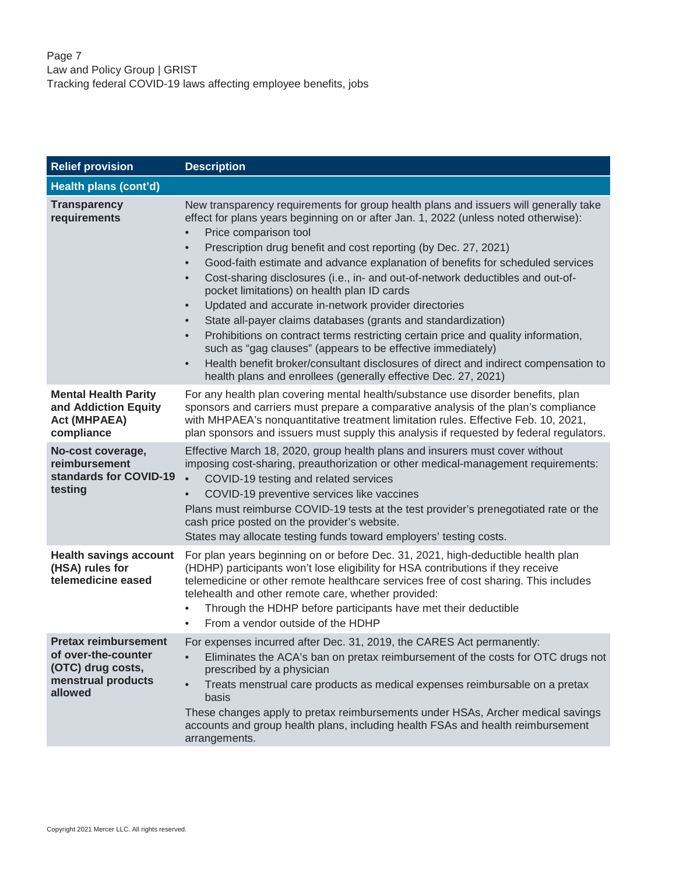| <b>Relief provision</b>                                                                                  | <b>Description</b>                                                                                                                                                                                                                                                                                                                                                                                                                                                                                                                                                                                                                                                                                                                                                                                                                                                                                                                                         |
|----------------------------------------------------------------------------------------------------------|------------------------------------------------------------------------------------------------------------------------------------------------------------------------------------------------------------------------------------------------------------------------------------------------------------------------------------------------------------------------------------------------------------------------------------------------------------------------------------------------------------------------------------------------------------------------------------------------------------------------------------------------------------------------------------------------------------------------------------------------------------------------------------------------------------------------------------------------------------------------------------------------------------------------------------------------------------|
| Health plans (cont'd)                                                                                    |                                                                                                                                                                                                                                                                                                                                                                                                                                                                                                                                                                                                                                                                                                                                                                                                                                                                                                                                                            |
| <b>Transparency</b><br>requirements                                                                      | New transparency requirements for group health plans and issuers will generally take<br>effect for plans years beginning on or after Jan. 1, 2022 (unless noted otherwise):<br>Price comparison tool<br>Prescription drug benefit and cost reporting (by Dec. 27, 2021)<br>$\bullet$<br>Good-faith estimate and advance explanation of benefits for scheduled services<br>Cost-sharing disclosures (i.e., in- and out-of-network deductibles and out-of-<br>pocket limitations) on health plan ID cards<br>Updated and accurate in-network provider directories<br>$\bullet$<br>State all-payer claims databases (grants and standardization)<br>Prohibitions on contract terms restricting certain price and quality information,<br>such as "gag clauses" (appears to be effective immediately)<br>Health benefit broker/consultant disclosures of direct and indirect compensation to<br>health plans and enrollees (generally effective Dec. 27, 2021) |
| <b>Mental Health Parity</b><br>and Addiction Equity<br><b>Act (MHPAEA)</b><br>compliance                 | For any health plan covering mental health/substance use disorder benefits, plan<br>sponsors and carriers must prepare a comparative analysis of the plan's compliance<br>with MHPAEA's nonquantitative treatment limitation rules. Effective Feb. 10, 2021,<br>plan sponsors and issuers must supply this analysis if requested by federal regulators.                                                                                                                                                                                                                                                                                                                                                                                                                                                                                                                                                                                                    |
| No-cost coverage,<br>reimbursement<br>standards for COVID-19<br>testing                                  | Effective March 18, 2020, group health plans and insurers must cover without<br>imposing cost-sharing, preauthorization or other medical-management requirements:<br>COVID-19 testing and related services<br>COVID-19 preventive services like vaccines<br>Plans must reimburse COVID-19 tests at the test provider's prenegotiated rate or the<br>cash price posted on the provider's website.<br>States may allocate testing funds toward employers' testing costs.                                                                                                                                                                                                                                                                                                                                                                                                                                                                                     |
| <b>Health savings account</b><br>(HSA) rules for<br>telemedicine eased                                   | For plan years beginning on or before Dec. 31, 2021, high-deductible health plan<br>(HDHP) participants won't lose eligibility for HSA contributions if they receive<br>telemedicine or other remote healthcare services free of cost sharing. This includes<br>telehealth and other remote care, whether provided:<br>Through the HDHP before participants have met their deductible<br>From a vendor outside of the HDHP                                                                                                                                                                                                                                                                                                                                                                                                                                                                                                                                 |
| <b>Pretax reimbursement</b><br>of over-the-counter<br>(OTC) drug costs,<br>menstrual products<br>allowed | For expenses incurred after Dec. 31, 2019, the CARES Act permanently:<br>Eliminates the ACA's ban on pretax reimbursement of the costs for OTC drugs not<br>prescribed by a physician<br>Treats menstrual care products as medical expenses reimbursable on a pretax<br>basis<br>These changes apply to pretax reimbursements under HSAs, Archer medical savings<br>accounts and group health plans, including health FSAs and health reimbursement<br>arrangements.                                                                                                                                                                                                                                                                                                                                                                                                                                                                                       |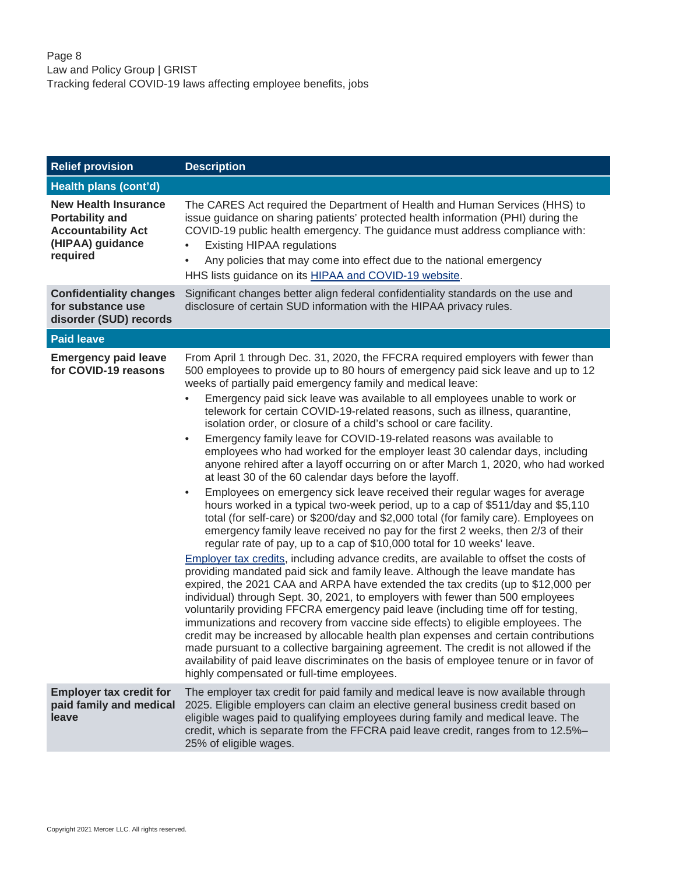<span id="page-7-0"></span>

| <b>Relief provision</b>                                                                                            | <b>Description</b>                                                                                                                                                                                                                                                                                                                                                                                                                                                                                                                                                                                                                                                                                                                                                                                                                                                                                                                                                                                                                                                                                                                                                                                                                                                                                                                                                                                                                                                                                                                                                                                                                                                                                                                                                                                                                                                                                                                                                                                                                                                                          |
|--------------------------------------------------------------------------------------------------------------------|---------------------------------------------------------------------------------------------------------------------------------------------------------------------------------------------------------------------------------------------------------------------------------------------------------------------------------------------------------------------------------------------------------------------------------------------------------------------------------------------------------------------------------------------------------------------------------------------------------------------------------------------------------------------------------------------------------------------------------------------------------------------------------------------------------------------------------------------------------------------------------------------------------------------------------------------------------------------------------------------------------------------------------------------------------------------------------------------------------------------------------------------------------------------------------------------------------------------------------------------------------------------------------------------------------------------------------------------------------------------------------------------------------------------------------------------------------------------------------------------------------------------------------------------------------------------------------------------------------------------------------------------------------------------------------------------------------------------------------------------------------------------------------------------------------------------------------------------------------------------------------------------------------------------------------------------------------------------------------------------------------------------------------------------------------------------------------------------|
| Health plans (cont'd)                                                                                              |                                                                                                                                                                                                                                                                                                                                                                                                                                                                                                                                                                                                                                                                                                                                                                                                                                                                                                                                                                                                                                                                                                                                                                                                                                                                                                                                                                                                                                                                                                                                                                                                                                                                                                                                                                                                                                                                                                                                                                                                                                                                                             |
| <b>New Health Insurance</b><br><b>Portability and</b><br><b>Accountability Act</b><br>(HIPAA) guidance<br>required | The CARES Act required the Department of Health and Human Services (HHS) to<br>issue guidance on sharing patients' protected health information (PHI) during the<br>COVID-19 public health emergency. The guidance must address compliance with:<br><b>Existing HIPAA regulations</b><br>Any policies that may come into effect due to the national emergency<br>HHS lists guidance on its HIPAA and COVID-19 website.                                                                                                                                                                                                                                                                                                                                                                                                                                                                                                                                                                                                                                                                                                                                                                                                                                                                                                                                                                                                                                                                                                                                                                                                                                                                                                                                                                                                                                                                                                                                                                                                                                                                      |
| <b>Confidentiality changes</b><br>for substance use<br>disorder (SUD) records                                      | Significant changes better align federal confidentiality standards on the use and<br>disclosure of certain SUD information with the HIPAA privacy rules.                                                                                                                                                                                                                                                                                                                                                                                                                                                                                                                                                                                                                                                                                                                                                                                                                                                                                                                                                                                                                                                                                                                                                                                                                                                                                                                                                                                                                                                                                                                                                                                                                                                                                                                                                                                                                                                                                                                                    |
| <b>Paid leave</b>                                                                                                  |                                                                                                                                                                                                                                                                                                                                                                                                                                                                                                                                                                                                                                                                                                                                                                                                                                                                                                                                                                                                                                                                                                                                                                                                                                                                                                                                                                                                                                                                                                                                                                                                                                                                                                                                                                                                                                                                                                                                                                                                                                                                                             |
| <b>Emergency paid leave</b><br>for COVID-19 reasons                                                                | From April 1 through Dec. 31, 2020, the FFCRA required employers with fewer than<br>500 employees to provide up to 80 hours of emergency paid sick leave and up to 12<br>weeks of partially paid emergency family and medical leave:<br>Emergency paid sick leave was available to all employees unable to work or<br>$\bullet$<br>telework for certain COVID-19-related reasons, such as illness, quarantine,<br>isolation order, or closure of a child's school or care facility.<br>Emergency family leave for COVID-19-related reasons was available to<br>$\bullet$<br>employees who had worked for the employer least 30 calendar days, including<br>anyone rehired after a layoff occurring on or after March 1, 2020, who had worked<br>at least 30 of the 60 calendar days before the layoff.<br>Employees on emergency sick leave received their regular wages for average<br>$\bullet$<br>hours worked in a typical two-week period, up to a cap of \$511/day and \$5,110<br>total (for self-care) or \$200/day and \$2,000 total (for family care). Employees on<br>emergency family leave received no pay for the first 2 weeks, then 2/3 of their<br>regular rate of pay, up to a cap of \$10,000 total for 10 weeks' leave.<br>Employer tax credits, including advance credits, are available to offset the costs of<br>providing mandated paid sick and family leave. Although the leave mandate has<br>expired, the 2021 CAA and ARPA have extended the tax credits (up to \$12,000 per<br>individual) through Sept. 30, 2021, to employers with fewer than 500 employees<br>voluntarily providing FFCRA emergency paid leave (including time off for testing,<br>immunizations and recovery from vaccine side effects) to eligible employees. The<br>credit may be increased by allocable health plan expenses and certain contributions<br>made pursuant to a collective bargaining agreement. The credit is not allowed if the<br>availability of paid leave discriminates on the basis of employee tenure or in favor of<br>highly compensated or full-time employees. |
| <b>Employer tax credit for</b><br>paid family and medical<br>leave                                                 | The employer tax credit for paid family and medical leave is now available through<br>2025. Eligible employers can claim an elective general business credit based on<br>eligible wages paid to qualifying employees during family and medical leave. The<br>credit, which is separate from the FFCRA paid leave credit, ranges from to 12.5%-<br>25% of eligible wages.                                                                                                                                                                                                                                                                                                                                                                                                                                                                                                                                                                                                                                                                                                                                                                                                                                                                                                                                                                                                                                                                                                                                                                                                                                                                                                                                                                                                                                                                                                                                                                                                                                                                                                                    |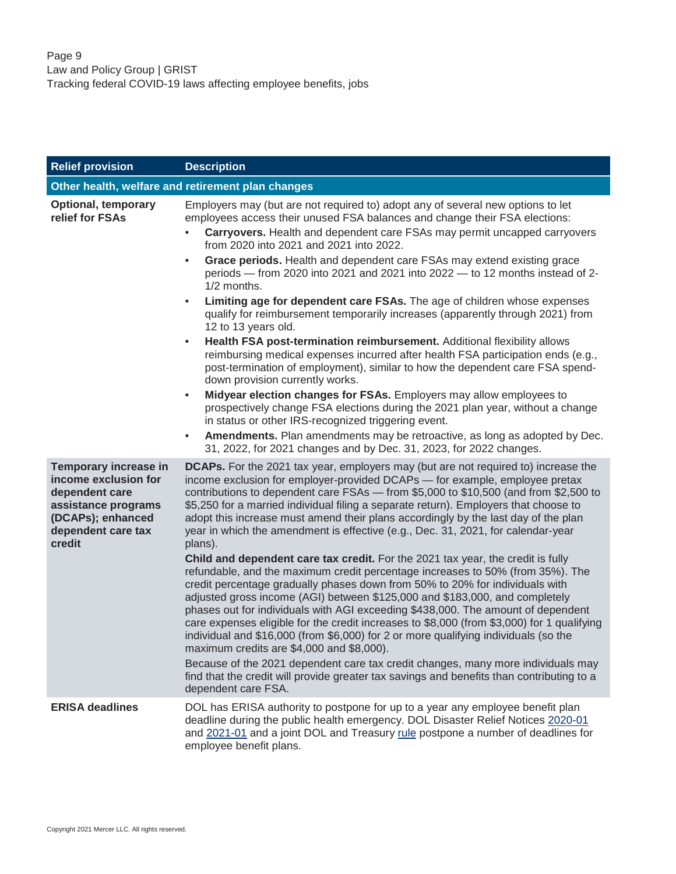<span id="page-8-0"></span>

| <b>Relief provision</b>                                                                                                                     | <b>Description</b>                                                                                                                                                                                                                                                                                                                                                                                                                                                                                                                                                                                                                                                                                                                                                                                                                                             |
|---------------------------------------------------------------------------------------------------------------------------------------------|----------------------------------------------------------------------------------------------------------------------------------------------------------------------------------------------------------------------------------------------------------------------------------------------------------------------------------------------------------------------------------------------------------------------------------------------------------------------------------------------------------------------------------------------------------------------------------------------------------------------------------------------------------------------------------------------------------------------------------------------------------------------------------------------------------------------------------------------------------------|
|                                                                                                                                             | Other health, welfare and retirement plan changes                                                                                                                                                                                                                                                                                                                                                                                                                                                                                                                                                                                                                                                                                                                                                                                                              |
| <b>Optional, temporary</b><br>relief for FSAs                                                                                               | Employers may (but are not required to) adopt any of several new options to let<br>employees access their unused FSA balances and change their FSA elections:                                                                                                                                                                                                                                                                                                                                                                                                                                                                                                                                                                                                                                                                                                  |
|                                                                                                                                             | Carryovers. Health and dependent care FSAs may permit uncapped carryovers<br>from 2020 into 2021 and 2021 into 2022.                                                                                                                                                                                                                                                                                                                                                                                                                                                                                                                                                                                                                                                                                                                                           |
|                                                                                                                                             | Grace periods. Health and dependent care FSAs may extend existing grace<br>$\bullet$<br>periods - from 2020 into 2021 and 2021 into 2022 - to 12 months instead of 2-<br>1/2 months.                                                                                                                                                                                                                                                                                                                                                                                                                                                                                                                                                                                                                                                                           |
|                                                                                                                                             | Limiting age for dependent care FSAs. The age of children whose expenses<br>$\bullet$<br>qualify for reimbursement temporarily increases (apparently through 2021) from<br>12 to 13 years old.                                                                                                                                                                                                                                                                                                                                                                                                                                                                                                                                                                                                                                                                 |
|                                                                                                                                             | Health FSA post-termination reimbursement. Additional flexibility allows<br>$\bullet$<br>reimbursing medical expenses incurred after health FSA participation ends (e.g.,<br>post-termination of employment), similar to how the dependent care FSA spend-<br>down provision currently works.                                                                                                                                                                                                                                                                                                                                                                                                                                                                                                                                                                  |
|                                                                                                                                             | Midyear election changes for FSAs. Employers may allow employees to<br>$\bullet$<br>prospectively change FSA elections during the 2021 plan year, without a change<br>in status or other IRS-recognized triggering event.                                                                                                                                                                                                                                                                                                                                                                                                                                                                                                                                                                                                                                      |
|                                                                                                                                             | Amendments. Plan amendments may be retroactive, as long as adopted by Dec.<br>$\bullet$<br>31, 2022, for 2021 changes and by Dec. 31, 2023, for 2022 changes.                                                                                                                                                                                                                                                                                                                                                                                                                                                                                                                                                                                                                                                                                                  |
| Temporary increase in<br>income exclusion for<br>dependent care<br>assistance programs<br>(DCAPs); enhanced<br>dependent care tax<br>credit | <b>DCAPs.</b> For the 2021 tax year, employers may (but are not required to) increase the<br>income exclusion for employer-provided DCAPs - for example, employee pretax<br>contributions to dependent care FSAs - from \$5,000 to \$10,500 (and from \$2,500 to<br>\$5,250 for a married individual filing a separate return). Employers that choose to<br>adopt this increase must amend their plans accordingly by the last day of the plan<br>year in which the amendment is effective (e.g., Dec. 31, 2021, for calendar-year<br>plans).                                                                                                                                                                                                                                                                                                                  |
|                                                                                                                                             | Child and dependent care tax credit. For the 2021 tax year, the credit is fully<br>refundable, and the maximum credit percentage increases to 50% (from 35%). The<br>credit percentage gradually phases down from 50% to 20% for individuals with<br>adjusted gross income (AGI) between \$125,000 and \$183,000, and completely<br>phases out for individuals with AGI exceeding \$438,000. The amount of dependent<br>care expenses eligible for the credit increases to \$8,000 (from \$3,000) for 1 qualifying<br>individual and \$16,000 (from \$6,000) for 2 or more qualifying individuals (so the<br>maximum credits are \$4,000 and \$8,000).<br>Because of the 2021 dependent care tax credit changes, many more individuals may<br>find that the credit will provide greater tax savings and benefits than contributing to a<br>dependent care FSA. |
| <b>ERISA deadlines</b>                                                                                                                      | DOL has ERISA authority to postpone for up to a year any employee benefit plan<br>deadline during the public health emergency. DOL Disaster Relief Notices 2020-01<br>and 2021-01 and a joint DOL and Treasury rule postpone a number of deadlines for<br>employee benefit plans.                                                                                                                                                                                                                                                                                                                                                                                                                                                                                                                                                                              |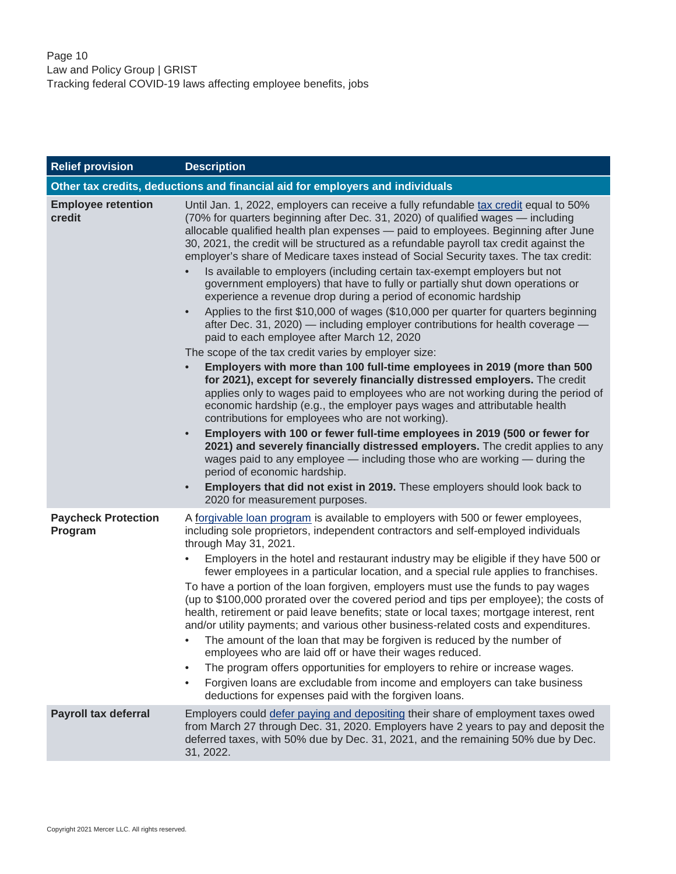<span id="page-9-0"></span>

| <b>Relief provision</b>               | <b>Description</b>                                                                                                                                                                                                                                                                                                                                                                                                                                                                                                                                                                                                                                                                                                                                                                                                                                                                                                                                                                                                                                                                                                                                                                                                                                                                                                                                                                                                                                                                                                                                                                                                                                                                                                                                   |
|---------------------------------------|------------------------------------------------------------------------------------------------------------------------------------------------------------------------------------------------------------------------------------------------------------------------------------------------------------------------------------------------------------------------------------------------------------------------------------------------------------------------------------------------------------------------------------------------------------------------------------------------------------------------------------------------------------------------------------------------------------------------------------------------------------------------------------------------------------------------------------------------------------------------------------------------------------------------------------------------------------------------------------------------------------------------------------------------------------------------------------------------------------------------------------------------------------------------------------------------------------------------------------------------------------------------------------------------------------------------------------------------------------------------------------------------------------------------------------------------------------------------------------------------------------------------------------------------------------------------------------------------------------------------------------------------------------------------------------------------------------------------------------------------------|
|                                       | Other tax credits, deductions and financial aid for employers and individuals                                                                                                                                                                                                                                                                                                                                                                                                                                                                                                                                                                                                                                                                                                                                                                                                                                                                                                                                                                                                                                                                                                                                                                                                                                                                                                                                                                                                                                                                                                                                                                                                                                                                        |
| <b>Employee retention</b><br>credit   | Until Jan. 1, 2022, employers can receive a fully refundable tax credit equal to 50%<br>(70% for quarters beginning after Dec. 31, 2020) of qualified wages — including<br>allocable qualified health plan expenses - paid to employees. Beginning after June<br>30, 2021, the credit will be structured as a refundable payroll tax credit against the<br>employer's share of Medicare taxes instead of Social Security taxes. The tax credit:<br>Is available to employers (including certain tax-exempt employers but not<br>government employers) that have to fully or partially shut down operations or<br>experience a revenue drop during a period of economic hardship<br>Applies to the first \$10,000 of wages (\$10,000 per quarter for quarters beginning<br>after Dec. 31, 2020) - including employer contributions for health coverage -<br>paid to each employee after March 12, 2020<br>The scope of the tax credit varies by employer size:<br>Employers with more than 100 full-time employees in 2019 (more than 500<br>for 2021), except for severely financially distressed employers. The credit<br>applies only to wages paid to employees who are not working during the period of<br>economic hardship (e.g., the employer pays wages and attributable health<br>contributions for employees who are not working).<br>Employers with 100 or fewer full-time employees in 2019 (500 or fewer for<br>$\bullet$<br>2021) and severely financially distressed employers. The credit applies to any<br>wages paid to any employee - including those who are working - during the<br>period of economic hardship.<br>Employers that did not exist in 2019. These employers should look back to<br>2020 for measurement purposes. |
| <b>Paycheck Protection</b><br>Program | A forgivable loan program is available to employers with 500 or fewer employees,<br>including sole proprietors, independent contractors and self-employed individuals<br>through May 31, 2021.<br>Employers in the hotel and restaurant industry may be eligible if they have 500 or<br>fewer employees in a particular location, and a special rule applies to franchises.<br>To have a portion of the loan forgiven, employers must use the funds to pay wages<br>(up to \$100,000 prorated over the covered period and tips per employee); the costs of<br>health, retirement or paid leave benefits; state or local taxes; mortgage interest, rent<br>and/or utility payments; and various other business-related costs and expenditures.<br>The amount of the loan that may be forgiven is reduced by the number of<br>employees who are laid off or have their wages reduced.<br>The program offers opportunities for employers to rehire or increase wages.<br>Forgiven loans are excludable from income and employers can take business<br>deductions for expenses paid with the forgiven loans.                                                                                                                                                                                                                                                                                                                                                                                                                                                                                                                                                                                                                                             |
| <b>Payroll tax deferral</b>           | Employers could defer paying and depositing their share of employment taxes owed<br>from March 27 through Dec. 31, 2020. Employers have 2 years to pay and deposit the<br>deferred taxes, with 50% due by Dec. 31, 2021, and the remaining 50% due by Dec.<br>31, 2022.                                                                                                                                                                                                                                                                                                                                                                                                                                                                                                                                                                                                                                                                                                                                                                                                                                                                                                                                                                                                                                                                                                                                                                                                                                                                                                                                                                                                                                                                              |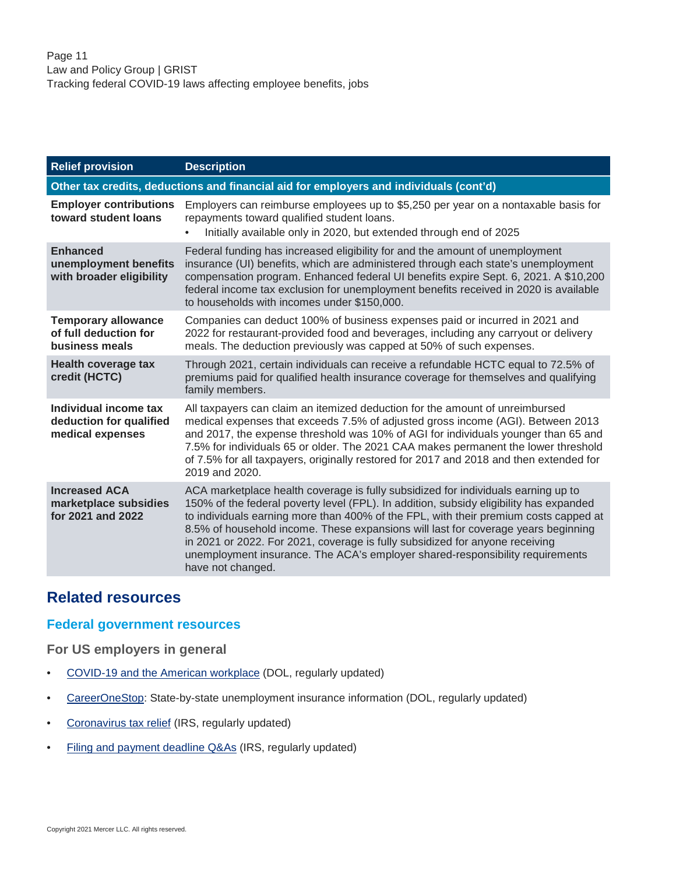| <b>Relief provision</b>                                                                | <b>Description</b>                                                                                                                                                                                                                                                                                                                                                                                                                                                                                                                             |
|----------------------------------------------------------------------------------------|------------------------------------------------------------------------------------------------------------------------------------------------------------------------------------------------------------------------------------------------------------------------------------------------------------------------------------------------------------------------------------------------------------------------------------------------------------------------------------------------------------------------------------------------|
| Other tax credits, deductions and financial aid for employers and individuals (cont'd) |                                                                                                                                                                                                                                                                                                                                                                                                                                                                                                                                                |
| <b>Employer contributions</b><br>toward student loans                                  | Employers can reimburse employees up to \$5,250 per year on a nontaxable basis for<br>repayments toward qualified student loans.<br>Initially available only in 2020, but extended through end of 2025                                                                                                                                                                                                                                                                                                                                         |
| <b>Enhanced</b><br>unemployment benefits<br>with broader eligibility                   | Federal funding has increased eligibility for and the amount of unemployment<br>insurance (UI) benefits, which are administered through each state's unemployment<br>compensation program. Enhanced federal UI benefits expire Sept. 6, 2021. A \$10,200<br>federal income tax exclusion for unemployment benefits received in 2020 is available<br>to households with incomes under \$150,000.                                                                                                                                                |
| <b>Temporary allowance</b><br>of full deduction for<br>business meals                  | Companies can deduct 100% of business expenses paid or incurred in 2021 and<br>2022 for restaurant-provided food and beverages, including any carryout or delivery<br>meals. The deduction previously was capped at 50% of such expenses.                                                                                                                                                                                                                                                                                                      |
| <b>Health coverage tax</b><br>credit (HCTC)                                            | Through 2021, certain individuals can receive a refundable HCTC equal to 72.5% of<br>premiums paid for qualified health insurance coverage for themselves and qualifying<br>family members.                                                                                                                                                                                                                                                                                                                                                    |
| Individual income tax<br>deduction for qualified<br>medical expenses                   | All taxpayers can claim an itemized deduction for the amount of unreimbursed<br>medical expenses that exceeds 7.5% of adjusted gross income (AGI). Between 2013<br>and 2017, the expense threshold was 10% of AGI for individuals younger than 65 and<br>7.5% for individuals 65 or older. The 2021 CAA makes permanent the lower threshold<br>of 7.5% for all taxpayers, originally restored for 2017 and 2018 and then extended for<br>2019 and 2020.                                                                                        |
| <b>Increased ACA</b><br>marketplace subsidies<br>for 2021 and 2022                     | ACA marketplace health coverage is fully subsidized for individuals earning up to<br>150% of the federal poverty level (FPL). In addition, subsidy eligibility has expanded<br>to individuals earning more than 400% of the FPL, with their premium costs capped at<br>8.5% of household income. These expansions will last for coverage years beginning<br>in 2021 or 2022. For 2021, coverage is fully subsidized for anyone receiving<br>unemployment insurance. The ACA's employer shared-responsibility requirements<br>have not changed. |

## <span id="page-10-0"></span>**Related resources**

#### **Federal government resources**

**For US employers in general**

- [COVID-19 and the American workplace](https://www.dol.gov/agencies/whd/pandemic) (DOL, regularly updated)
- [CareerOneStop:](https://www.careeronestop.org/LocalHelp/UnemploymentBenefits/find-unemployment-benefits.aspx?newsearch=true) State-by-state unemployment insurance information (DOL, regularly updated)
- [Coronavirus tax relief](https://www.irs.gov/coronavirus) (IRS, regularly updated)
- [Filing and payment deadline Q&As](https://www.irs.gov/newsroom/filing-and-payment-deadlines-questions-and-answers) (IRS, regularly updated)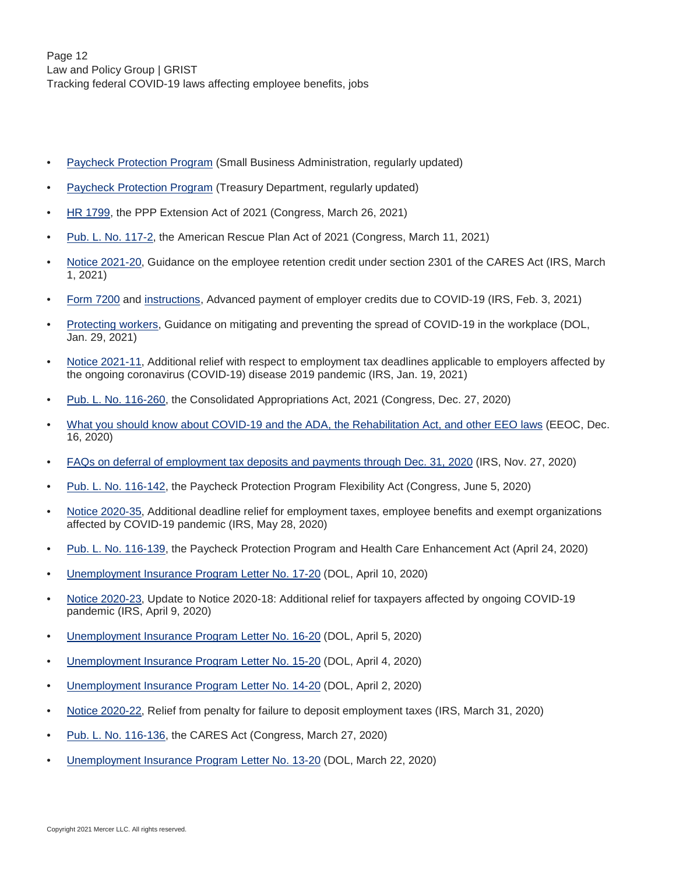- [Paycheck Protection Program](https://www.sba.gov/funding-programs/loans/coronavirus-relief-options/paycheck-protection-program) (Small Business Administration, regularly updated)
- [Paycheck Protection Program](https://home.treasury.gov/policy-issues/cares/assistance-for-small-businesses) (Treasury Department, regularly updated)
- [HR 1799,](https://www.congress.gov/117/bills/hr1799/BILLS-117hr1799enr.pdf) the PPP Extension Act of 2021 (Congress, March 26, 2021)
- [Pub. L. No. 117-2,](https://www.congress.gov/117/plaws/publ2/PLAW-117publ2.pdf) the American Rescue Plan Act of 2021 (Congress, March 11, 2021)
- [Notice 2021-20](https://www.irs.gov/pub/irs-drop/n-21-20.pdf), Guidance on the employee retention credit under section 2301 of the CARES Act (IRS, March 1, 2021)
- [Form 7200](https://www.irs.gov/pub/irs-pdf/f7200.pdf) and [instructions,](https://www.irs.gov/pub/irs-pdf/i7200.pdf) Advanced payment of employer credits due to COVID-19 (IRS, Feb. 3, 2021)
- [Protecting workers](https://www.osha.gov/coronavirus/safework), Guidance on mitigating and preventing the spread of COVID-19 in the workplace (DOL, Jan. 29, 2021)
- [Notice 2021-11](https://www.irs.gov/pub/irs-drop/n-21-11.pdf), Additional relief with respect to employment tax deadlines applicable to employers affected by the ongoing coronavirus (COVID-19) disease 2019 pandemic (IRS, Jan. 19, 2021)
- [Pub. L. No. 116-260,](https://www.congress.gov/116/plaws/publ260/PLAW-116publ260.pdf) the Consolidated Appropriations Act, 2021 (Congress, Dec. 27, 2020)
- [What you should know about COVID-19 and the ADA, the Rehabilitation Act, and other EEO laws](https://www.eeoc.gov/wysk/what-you-should-know-about-covid-19-and-ada-rehabilitation-act-and-other-eeo-laws) (EEOC, Dec. 16, 2020)
- [FAQs on deferral of employment tax deposits and payments through Dec. 31, 2020](https://www.irs.gov/newsroom/deferral-of-employment-tax-deposits-and-payments-through-december-31-2020) (IRS, Nov. 27, 2020)
- [Pub. L. No. 116-142,](https://www.congress.gov/116/plaws/publ142/PLAW-116publ142.pdf) the Paycheck Protection Program Flexibility Act (Congress, June 5, 2020)
- [Notice 2020-35](https://www.irs.gov/pub/irs-drop/n-20-35.pdf), Additional deadline relief for employment taxes, employee benefits and exempt organizations affected by COVID-19 pandemic (IRS, May 28, 2020)
- [Pub. L. No. 116-139,](https://www.govinfo.gov/content/pkg/PLAW-116publ139/pdf/PLAW-116publ139.pdf) the Paycheck Protection Program and Health Care Enhancement Act (April 24, 2020)
- [Unemployment Insurance Program Letter No. 17-20](https://wdr.doleta.gov/directives/attach/UIPL/UIPL_17-20_acc.pdf) (DOL, April 10, 2020)
- [Notice 2020-23](https://www.irs.gov/pub/irs-drop/n-20-23.pdf), Update to Notice 2020-18: Additional relief for taxpayers affected by ongoing COVID-19 pandemic (IRS, April 9, 2020)
- [Unemployment Insurance Program Letter No. 16-20](https://wdr.doleta.gov/directives/attach/UIPL/UIPL_16-20_acc.pdf) (DOL, April 5, 2020)
- [Unemployment Insurance Program Letter No. 15-20](https://wdr.doleta.gov/directives/attach/UIPL/UIPL_15-20_acc.pdf) (DOL, April 4, 2020)
- [Unemployment Insurance Program Letter No. 14-20](https://wdr.doleta.gov/directives/attach/UIPL/UIPL_14-20_acc.pdf) (DOL, April 2, 2020)
- [Notice 2020-22](https://lnks.gd/l/eyJhbGciOiJIUzI1NiJ9.eyJidWxsZXRpbl9saW5rX2lkIjoxMTcsInVyaSI6ImJwMjpjbGljayIsImJ1bGxldGluX2lkIjoiMjAyMDAzMzEuMTk1NjQ5NjEiLCJ1cmwiOiJodHRwczovL3d3dy5pcnMuZ292L3B1Yi9pcnMtZHJvcC9uLTIwLTIyLnBkZiJ9.QM6fdJlWfa7O7qc745sH_5BhpPTRsDOIS5Jp3axZB00/br/76860195306-l), Relief from penalty for failure to deposit employment taxes (IRS, March 31, 2020)
- [Pub. L. No. 116-136,](https://www.govinfo.gov/content/pkg/PLAW-116publ136/pdf/PLAW-116publ136.pdf) the CARES Act (Congress, March 27, 2020)
- [Unemployment Insurance Program Letter No. 13-20](https://wdr.doleta.gov/directives/attach/UIPL/UIPL%2013-20_acc.pdf) (DOL, March 22, 2020)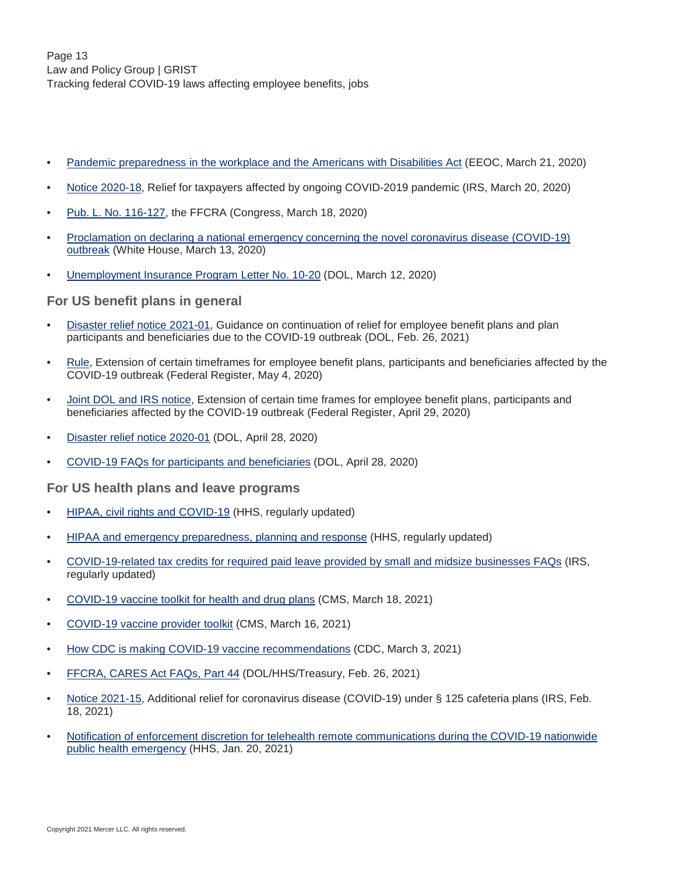- [Pandemic preparedness in the workplace and the Americans with Disabilities Act](https://www.eeoc.gov/facts/pandemic_flu.html) (EEOC, March 21, 2020)
- [Notice 2020-18](https://www.irs.gov/pub/irs-drop/n-20-18.pdf), Relief for taxpayers affected by ongoing COVID-2019 pandemic (IRS, March 20, 2020)
- [Pub. L. No. 116-127,](https://www.govinfo.gov/content/pkg/PLAW-116publ127/pdf/PLAW-116publ127.pdf) the FFCRA (Congress, March 18, 2020)
- [Proclamation on declaring a national emergency concerning the novel coronavirus disease \(COVID-19\)](https://trumpwhitehouse.archives.gov/presidential-actions/proclamation-declaring-national-emergency-concerning-novel-coronavirus-disease-covid-19-outbreak/) [outbreak](https://trumpwhitehouse.archives.gov/presidential-actions/proclamation-declaring-national-emergency-concerning-novel-coronavirus-disease-covid-19-outbreak/) (White House, March 13, 2020)
- [Unemployment Insurance Program Letter No. 10-20](https://wdr.doleta.gov/directives/attach/UIPL/UIPL_10-20.pdf) (DOL, March 12, 2020)

#### **For US benefit plans in general**

- [Disaster relief notice 2021-01,](https://www.dol.gov/agencies/ebsa/employers-and-advisers/plan-administration-and-compliance/disaster-relief/ebsa-disaster-relief-notice-2021-01) Guidance on continuation of relief for employee benefit plans and plan participants and beneficiaries due to the COVID-19 outbreak (DOL, Feb. 26, 2021)
- [Rule](https://www.federalregister.gov/documents/2020/05/04/2020-09399/extension-of-certain-timeframes-for-employee-benefit-plans-participants-and-beneficiaries-affected), Extension of certain timeframes for employee benefit plans, participants and beneficiaries affected by the COVID-19 outbreak (Federal Register, May 4, 2020)
- [Joint DOL and IRS notice](https://www.federalregister.gov/documents/2020/05/04/2020-09399/extension-of-certain-timeframes-for-employee-benefit-plans-participants-and-beneficiaries-affected), Extension of certain time frames for employee benefit plans, participants and beneficiaries affected by the COVID-19 outbreak (Federal Register, April 29, 2020)
- [Disaster relief notice 2020-01](https://www.dol.gov/agencies/ebsa/employers-and-advisers/plan-administration-and-compliance/disaster-relief/ebsa-disaster-relief-notice-2020-01) (DOL, April 28, 2020)
- [COVID-19 FAQs for participants and beneficiaries](https://www.dol.gov/sites/dolgov/files/EBSA/about-ebsa/our-activities/resource-center/faqs/covid-19.pdf) (DOL, April 28, 2020)

#### **For US health plans and leave programs**

- [HIPAA, civil rights and COVID-19](https://www.hhs.gov/hipaa/for-professionals/special-topics/hipaa-covid19/index.html) (HHS, regularly updated)
- [HIPAA and emergency preparedness, planning and response](https://www.hhs.gov/hipaa/for-professionals/special-topics/emergency-preparedness/index.html) (HHS, regularly updated)
- [COVID-19-related tax credits for required paid leave provided by small and midsize businesses FAQs](https://www.irs.gov/newsroom/covid-19-related-tax-credits-for-required-paid-leave-provided-by-small-and-midsize-businesses-faqs) (IRS, regularly updated)
- [COVID-19 vaccine toolkit for health and drug plans](https://www.cms.gov/files/document/COVID-19-toolkit-issuers-MA-plans.pdf) (CMS, March 18, 2021)
- [COVID-19 vaccine provider toolkit](https://www.cms.gov/covidvax-provider) (CMS, March 16, 2021)
- [How CDC is making COVID-19 vaccine recommendations](https://www.cdc.gov/coronavirus/2019-ncov/vaccines/recommendations-process.html) (CDC, March 3, 2021)
- [FFCRA, CARES Act FAQs, Part 44](https://www.dol.gov/sites/dolgov/files/ebsa/about-ebsa/our-activities/resource-center/faqs/aca-part-44.pdf) (DOL/HHS/Treasury, Feb. 26, 2021)
- [Notice 2021-15](https://www.irs.gov/pub/irs-drop/n-21-15.pdf), Additional relief for coronavirus disease (COVID-19) under § 125 cafeteria plans (IRS, Feb. 18, 2021)
- [Notification of enforcement discretion for telehealth remote communications during the COVID-19 nationwide](https://www.hhs.gov/hipaa/for-professionals/special-topics/emergency-preparedness/notification-enforcement-discretion-telehealth/index.html) [public health emergency](https://www.hhs.gov/hipaa/for-professionals/special-topics/emergency-preparedness/notification-enforcement-discretion-telehealth/index.html) (HHS, Jan. 20, 2021)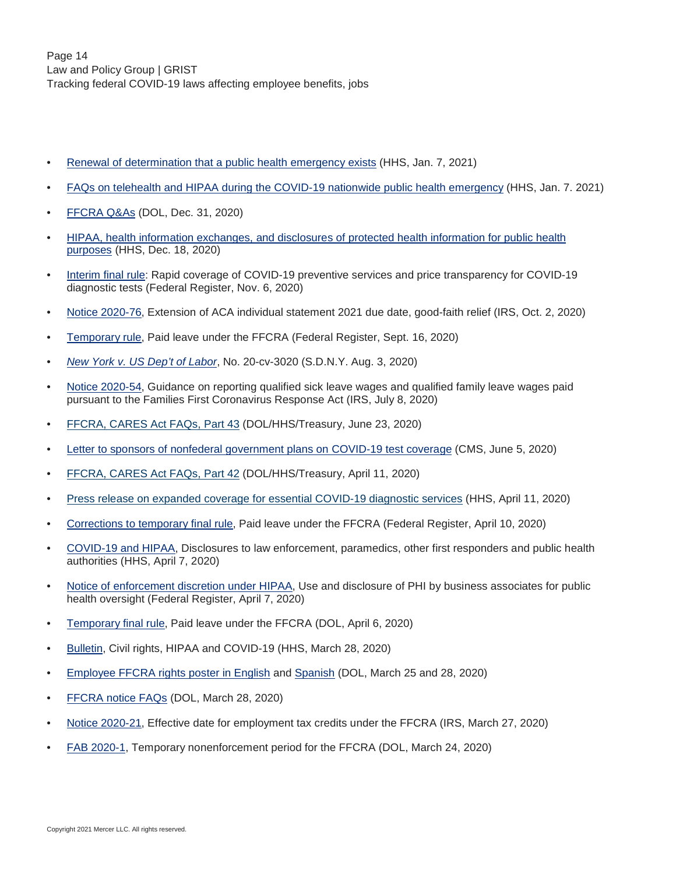- [Renewal of determination that a public health emergency exists](https://www.phe.gov/emergency/news/healthactions/phe/Pages/opioids-7Jan2021.aspx) (HHS, Jan. 7, 2021)
- [FAQs on telehealth and HIPAA during the COVID-19 nationwide public health emergency](https://www.hhs.gov/sites/default/files/telehealth-faqs-508.pdf) (HHS, Jan. 7. 2021)
- [FFCRA Q&As](https://www.dol.gov/agencies/whd/pandemic/ffcra-questions) (DOL, Dec. 31, 2020)
- [HIPAA, health information exchanges, and disclosures of protected health information for public health](https://www.hhs.gov/sites/default/files/hie-faqs.pdf) [purposes](https://www.hhs.gov/sites/default/files/hie-faqs.pdf) (HHS, Dec. 18, 2020)
- [Interim final rule:](https://www.federalregister.gov/documents/2020/11/06/2020-24332/additional-policy-and-regulatory-revisions-in-response-to-the-covid-19-public-health-emergency) Rapid coverage of COVID-19 preventive services and price transparency for COVID-19 diagnostic tests (Federal Register, Nov. 6, 2020)
- [Notice 2020-76](https://www.irs.gov/pub/irs-drop/n-20-76.pdf), Extension of ACA individual statement 2021 due date, good-faith relief (IRS, Oct. 2, 2020)
- [Temporary rule](https://www.govinfo.gov/content/pkg/FR-2020-09-16/pdf/2020-20351.pdf), Paid leave under the FFCRA (Federal Register, Sept. 16, 2020)
- *[New York v. US Dep't of Labor](https://www.nysd.uscourts.gov/sites/default/files/2020-08/State%20of%20New%20York%20v.%20United%20States%20Department%20of%20Labor%20et%20al%2C%2020-cv-3020%20%28JPO%29.pdf)*, No. 20-cv-3020 (S.D.N.Y. Aug. 3, 2020)
- [Notice 2020-54](https://www.irs.gov/pub/irs-drop/n-20-54.pdf), Guidance on reporting qualified sick leave wages and qualified family leave wages paid pursuant to the Families First Coronavirus Response Act (IRS, July 8, 2020)
- [FFCRA, CARES Act FAQs, Part 43](https://www.dol.gov/sites/dolgov/files/ebsa/about-ebsa/our-activities/resource-center/faqs/aca-part-43.pdf) (DOL/HHS/Treasury, June 23, 2020)
- [Letter to sponsors of nonfederal government plans on COVID-19 test coverage](https://www.cms.gov/files/document/COVID-19-Letter-to-Non-Federal-Governmental-Plans.pdf) (CMS, June 5, 2020)
- [FFCRA, CARES Act FAQs, Part 42](https://www.dol.gov/sites/dolgov/files/ebsa/about-ebsa/our-activities/resource-center/faqs/aca-part-42.pdf) (DOL/HHS/Treasury, April 11, 2020)
- [Press release on expanded coverage for essential COVID-19 diagnostic services](https://www.cms.gov/newsroom/press-releases/trump-administration-announces-expanded-coverage-essential-diagnostic-services-amid-covid-19-public) (HHS, April 11, 2020)
- [Corrections to temporary final rule,](https://www.federalregister.gov/documents/2020/04/10/2020-07711/paid-leave-under-the-families-first-coronavirus-response-act) Paid leave under the FFCRA (Federal Register, April 10, 2020)
- [COVID-19 and HIPAA,](https://www.hhs.gov/sites/default/files/covid-19-hipaa-and-first-responders-508.pdf) Disclosures to law enforcement, paramedics, other first responders and public health authorities (HHS, April 7, 2020)
- [Notice of enforcement discretion under HIPAA,](https://www.federalregister.gov/documents/2020/04/07/2020-07268/enforcement-discretion-under-hipaa-to-allow-uses-and-disclosures-of-protected-health-information-by) Use and disclosure of PHI by business associates for public health oversight (Federal Register, April 7, 2020)
- [Temporary final rule](https://www.federalregister.gov/documents/2020/04/06/2020-07237/paid-leave-under-the-families-first-coronavirus-response-act/#sectno-reference-826.60), Paid leave under the FFCRA (DOL, April 6, 2020)
- [Bulletin,](https://www.hhs.gov/sites/default/files/ocr-bulletin-3-28-20.pdf) Civil rights, HIPAA and COVID-19 (HHS, March 28, 2020)
- [Employee FFCRA rights poster in English](https://www.dol.gov/sites/dolgov/files/WHD/posters/FFCRA_Poster_WH1422_Non-Federal.pdf) and [Spanish](https://www.dol.gov/sites/dolgov/files/WHD/Pandemic/1422-spanish.pdf) (DOL, March 25 and 28, 2020)
- [FFCRA notice FAQs](https://www.dol.gov/agencies/whd/pandemic/ffcra-poster-questions) (DOL, March 28, 2020)
- [Notice 2020-21](https://www.irs.gov/pub/irs-drop/n-20-21.pdf), Effective date for employment tax credits under the FFCRA (IRS, March 27, 2020)
- [FAB 2020-1,](https://www.dol.gov/agencies/whd/field-assistance-bulletins/2020-1) Temporary nonenforcement period for the FFCRA (DOL, March 24, 2020)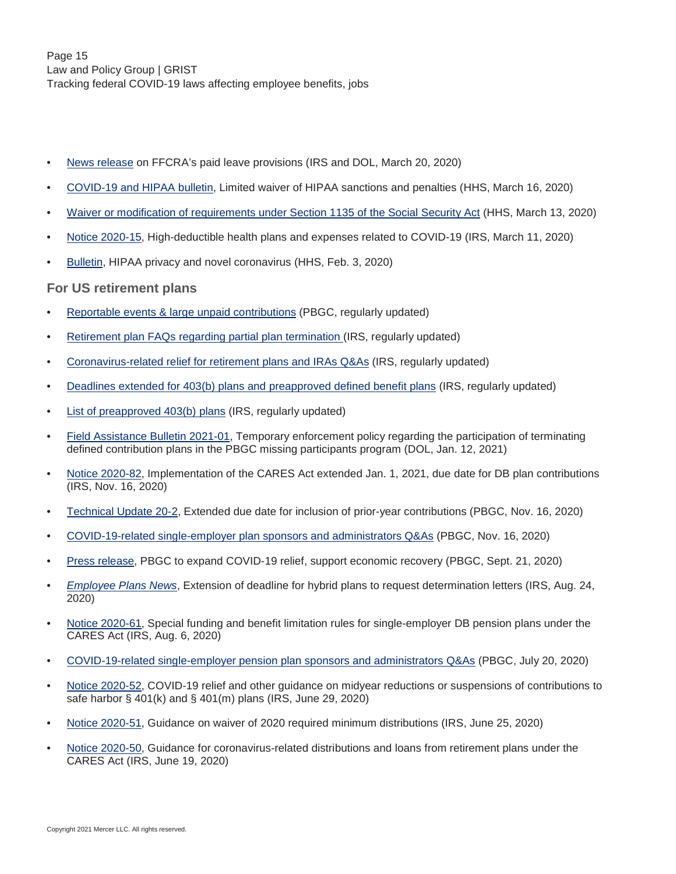- [News release](https://www.irs.gov/newsroom/treasury-irs-and-labor-announce-plan-to-implement-coronavirus-related-paid-leave-for-workers-and-tax-credits-for-small-and-midsize-businesses-to-swiftly-recover-the-cost-of-providing-coronavirus) on FFCRA's paid leave provisions (IRS and DOL, March 20, 2020)
- [COVID-19 and HIPAA bulletin](https://www.hhs.gov/sites/default/files/hipaa-and-covid-19-limited-hipaa-waiver-bulletin-508.pdf), Limited waiver of HIPAA sanctions and penalties (HHS, March 16, 2020)
- [Waiver or modification of requirements under Section 1135 of the Social Security Act](https://www.phe.gov/emergency/news/healthactions/section1135/Pages/covid19-13March20.aspx) (HHS, March 13, 2020)
- [Notice 2020-15](https://www.irs.gov/pub/irs-drop/n-20-15.pdf), High-deductible health plans and expenses related to COVID-19 (IRS, March 11, 2020)
- [Bulletin,](https://list.nih.gov/cgi-bin/wa.exe?A3=ind2002&L=OCR-PRIVACY-LIST&E=quoted-printable&P=26304&B=--_000_MN2PR09MB5273A50684C625B2F8659797E5000MN2PR09MB5273namp_&T=text%2Fhtml;%20charset=iso-8859-1&XSS=3&header=1) HIPAA privacy and novel coronavirus (HHS, Feb. 3, 2020)

#### **For US retirement plans**

- [Reportable events & large unpaid contributions](https://www.pbgc.gov/prac/reporting-and-disclosure/reportable-events) (PBGC, regularly updated)
- [Retirement plan FAQs regarding partial plan termination](https://www.irs.gov/retirement-plans/retirement-plan-faqs-regarding-partial-plan-termination) (IRS, regularly updated)
- [Coronavirus-related relief for retirement plans and IRAs Q&As](https://www.irs.gov/newsroom/coronavirus-related-relief-for-retirement-plans-and-iras-questions-and-answers) (IRS, regularly updated)
- [Deadlines extended for 403\(b\) plans and preapproved defined benefit plans](https://www.irs.gov/retirement-plans/deadlines-extended-for-403b-plans-and-pre-approved-defined-benefit-plans) (IRS, regularly updated)
- [List of preapproved 403\(b\) plans](https://www.irs.gov/retirement-plans/list-of-pre-approved-403b-plans) (IRS, regularly updated)
- [Field Assistance Bulletin 2021-01](https://www.dol.gov/agencies/ebsa/employers-and-advisers/guidance/field-assistance-bulletins/2021-01), Temporary enforcement policy regarding the participation of terminating defined contribution plans in the PBGC missing participants program (DOL, Jan. 12, 2021)
- [Notice 2020-82](https://www.irs.gov/pub/irs-drop/n-20-82.pdf), Implementation of the CARES Act extended Jan. 1, 2021, due date for DB plan contributions (IRS, Nov. 16, 2020)
- [Technical Update 20-2](https://www.pbgc.gov/prac/other-guidance/extended-due-date-inclusion-prior-year-contributions), Extended due date for inclusion of prior-year contributions (PBGC, Nov. 16, 2020)
- [COVID-19-related single-employer plan sponsors and administrators Q&As](https://www.pbgc.gov/prac/single-employer-plan-sponsors-and-administrators-questions-and-answers) (PBGC, Nov. 16, 2020)
- [Press release,](https://www.pbgc.gov/news/press/releases/pr20-04) PBGC to expand COVID-19 relief, support economic recovery (PBGC, Sept. 21, 2020)
- *[Employee Plans News](https://www.irs.gov/retirement-plans/employee-plans-news#collapseCollapsible1614362511002)*, Extension of deadline for hybrid plans to request determination letters (IRS, Aug. 24, 2020)
- [Notice 2020-61](https://www.irs.gov/pub/irs-drop/n-20-61.pdf), Special funding and benefit limitation rules for single-employer DB pension plans under the CARES Act (IRS, Aug. 6, 2020)
- [COVID-19-related single-employer pension plan sponsors and administrators Q&As](https://www.pbgc.gov/prac/single-employer-plan-sponsors-and-administrators-questions-and-answers) (PBGC, July 20, 2020)
- [Notice 2020-52](https://www.irs.gov/pub/irs-drop/n-20-52.pdf), COVID-19 relief and other guidance on midyear reductions or suspensions of contributions to safe harbor  $\S$  401(k) and  $\S$  401(m) plans (IRS, June 29, 2020)
- [Notice 2020-51](https://www.irs.gov/pub/irs-drop/n-20-51.pdf), Guidance on waiver of 2020 required minimum distributions (IRS, June 25, 2020)
- [Notice 2020-50](https://www.irs.gov/pub/irs-drop/n-20-50.pdf), Guidance for coronavirus-related distributions and loans from retirement plans under the CARES Act (IRS, June 19, 2020)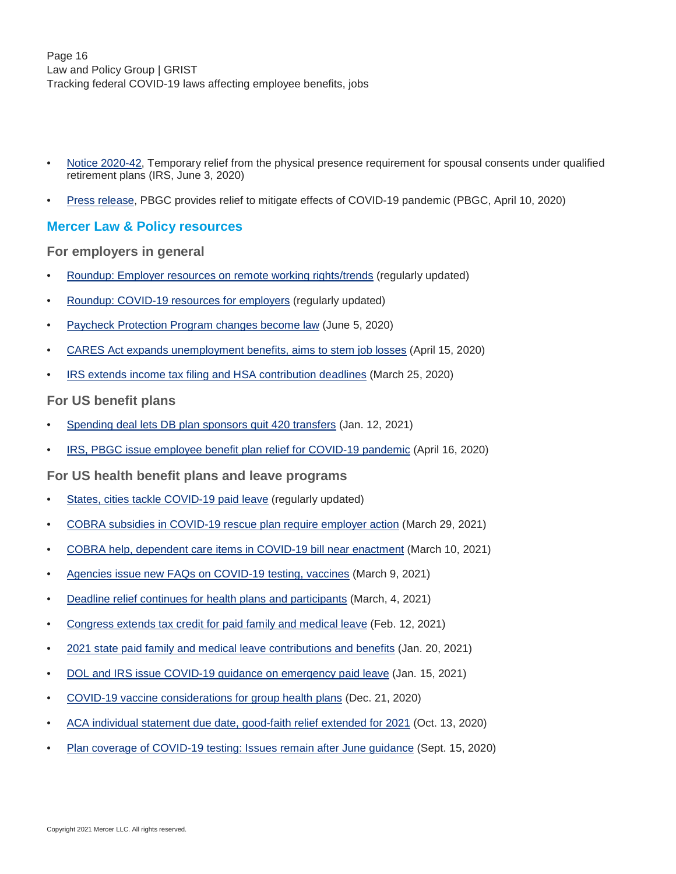- [Notice 2020-42](https://www.irs.gov/pub/irs-drop/n-20-42.pdf), Temporary relief from the physical presence requirement for spousal consents under qualified retirement plans (IRS, June 3, 2020)
- [Press release,](https://www.pbgc.gov/news/press/releases/pr20-02) PBGC provides relief to mitigate effects of COVID-19 pandemic (PBGC, April 10, 2020)

#### **Mercer Law & Policy resources**

**For employers in general**

- [Roundup: Employer resources on remote working rights/trends](https://www.mercer.com/our-thinking/law-and-policy-group/roundup-employer-resources-on-remote-working-rights-trends.html) (regularly updated)
- [Roundup: COVID-19 resources for employers](https://www.mercer.com/content/dam/mercer/attachments/global/law-and-policy/gl-2020-roundup-novel-coronavirus-resources-for-employers-updated.pdf) (regularly updated)
- [Paycheck Protection Program changes become law](https://www.mercer.com/our-thinking/law-and-policy-group/paycheck-protection-program-changes-become-law.html) (June 5, 2020)
- [CARES Act expands unemployment benefits, aims to stem job losses](https://www.mercer.com/our-thinking/law-and-policy-group/cares-act-expands-unemployment-benefits.html) (April 15, 2020)
- [IRS extends income tax filing and HSA contribution deadlines](https://www.mercer.com/our-thinking/law-and-policy-group/irs-extends-income-tax-filing-hsa-contribution-deadlines.html) (March 25, 2020)

#### **For US benefit plans**

- [Spending deal lets DB plan sponsors quit 420 transfers](https://www.mercer.com/our-thinking/law-and-policy-group/spending-deal-lets-db-plan-sponsors-quit-420-transfers.html) (Jan. 12, 2021)
- [IRS, PBGC issue employee benefit plan relief for COVID-19 pandemic](https://www.mercer.com/our-thinking/law-and-policy-group/irs-pbgc-issue-employee-benefit-plan-relief-for-covid-19-pandemic.html) (April 16, 2020)

#### **For US health benefit plans and leave programs**

- [States, cities tackle COVID-19 paid leave](https://www.mercer.com/content/dam/mercer/attachments/global/law-and-policy/gl-2020-states-cites-tackle-covid-19-paid-leave.pdf) (regularly updated)
- [COBRA subsidies in COVID-19 rescue plan require employer action](https://www.mercer.com/our-thinking/law-and-policy-group/cobra-subsidies-in-covid-19-rescue-plan-require-employer-action.html) (March 29, 2021)
- [COBRA help, dependent care items in COVID-19 bill near enactment](https://www.mercer.com/our-thinking/law-and-policy-group/cobra-help-dependent-care-items-in-covid-19-bill-pass.html) (March 10, 2021)
- [Agencies issue new FAQs on COVID-19 testing, vaccines](https://www.mercer.com/our-thinking/law-and-policy-group/agencies-issue-new-faqs-on-covid-19-testing-vaccines.html) (March 9, 2021)
- [Deadline relief continues for health plans and participants](http://www.mercer.com/our-thinking/law-and-policy-group/deadline-relief-continues-for-health-plans-and-participants.html) (March, 4, 2021)
- [Congress extends tax credit for paid family and medical leave](https://www.mercer.com/our-thinking/law-and-policy-group/congress-extends-tax-credit-for-paid-family-and-medical-leave.html) (Feb. 12, 2021)
- [2021 state paid family and medical leave contributions and benefits](https://www.mercer.com/our-thinking/law-and-policy-group/2021-state-paid-family-medical-leave-contributions-and-benefits.html) (Jan. 20, 2021)
- [DOL and IRS issue COVID-19 guidance on emergency paid leave](https://www.mercer.com/our-thinking/law-and-policy-group/dol-and-irs-issue-guidance-on-covid-19-emergency-paid-leave.html) (Jan. 15, 2021)
- [COVID-19 vaccine considerations for group health plans](https://www.mercer.com/our-thinking/law-and-policy-group/covid-19-vaccine-considerations-for-group-health-plans.html) (Dec. 21, 2020)
- [ACA individual statement due date, good-faith relief extended for 2021](https://www.mercer.com/our-thinking/law-and-policy-group/aca-individual-statement-due-date-good-faith-relief-extended.html) (Oct. 13, 2020)
- [Plan coverage of COVID-19 testing: Issues remain after June guidance](https://www.mercer.com/our-thinking/law-and-policy-group/plan-coverage-of-covid-19-tests-issues-remain-after-june-guidance.html) (Sept. 15, 2020)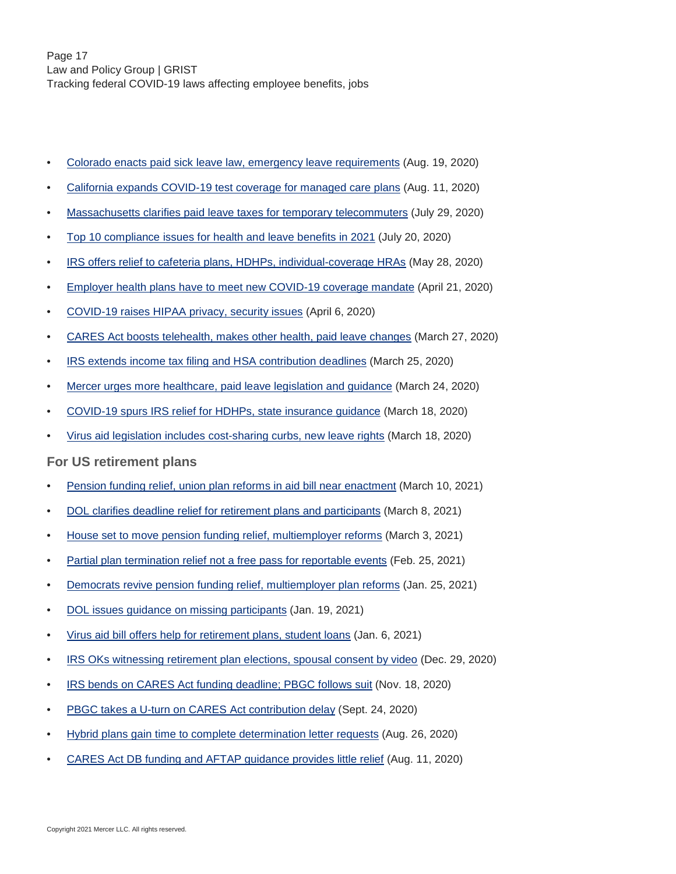- [Colorado enacts paid sick leave law, emergency leave requirements](https://www.mercer.com/our-thinking/law-and-policy-group/colorado-enacts-paid-sick-leave-law-emergency-leave-requirements.html) (Aug. 19, 2020)
- [California expands COVID-19 test coverage for managed care plans](https://www.mercer.com/our-thinking/law-and-policy-group/california-expands-covid-19-test-coverage-for-managed-care-plans.html) (Aug. 11, 2020)
- [Massachusetts clarifies paid leave taxes for temporary telecommuters](https://www.mercer.com/our-thinking/law-and-policy-group/massachusetts-clarifies-paid-leave-taxes-for-temporary-telecommuters.html) (July 29, 2020)
- [Top 10 compliance issues for health and leave benefits in 2021](https://www.mercer.com/our-thinking/law-and-policy-group/top-10-compliance-issues-for-health-and-leave-benefits-in-2021.html) (July 20, 2020)
- [IRS offers relief to cafeteria plans, HDHPs, individual-coverage HRAs](https://www.mercer.com/our-thinking/law-and-policy-group/irs-offers-relief-to-cafeteria-plans.html) (May 28, 2020)
- [Employer health plans have to meet new COVID-19 coverage mandate](https://www.mercer.com/our-thinking/law-and-policy-group/employer-health-plans-have-to-meet-new-covid-19-coverage-mandate.html) (April 21, 2020)
- [COVID-19 raises HIPAA privacy, security issues](https://www.mercer.com/our-thinking/law-and-policy-group/covid-19-raises-hipaa-privacy-security-issues.html) (April 6, 2020)
- [CARES Act boosts telehealth, makes other health, paid leave changes](https://www.mercer.com/our-thinking/law-and-policy-group/cares-act-boosts-telehealth-makes-other-health-paid-leave-changes.html) (March 27, 2020)
- [IRS extends income tax filing and HSA contribution deadlines](https://www.mercer.com/our-thinking/law-and-policy-group/irs-extends-income-tax-filing-hsa-contribution-deadlines.html) (March 25, 2020)
- [Mercer urges more healthcare, paid leave legislation and guidance](https://www.mercer.com/our-thinking/law-and-policy-group/mercer-urges-more-healthcare-paid-leave-legislation-and-guidance.html) (March 24, 2020)
- [COVID-19 spurs IRS relief for HDHPs, state insurance guidance](https://www.mercer.com/our-thinking/law-and-policy-group/covid-19-spurs-irs-relief-for-hdhps-state-insurance-guidance.html) (March 18, 2020)
- [Virus aid legislation includes cost-sharing curbs, new leave rights](https://www.mercer.com/our-thinking/law-and-policy-group/virus-aid-bill-includes-cost-sharing-curbs-new-leave-rights.html) (March 18, 2020)

#### **For US retirement plans**

- [Pension funding relief, union plan reforms in aid bill near enactment](https://www.mercer.com/our-thinking/law-and-policy-group/pension-funding-relief-union-plan-reforms-in-aid-bill-pass.html) (March 10, 2021)
- [DOL clarifies deadline relief for retirement plans and participants](https://www.mercer.com/our-thinking/law-and-policy-group/dol-clarifies-deadline-relief-for-retirement-plans-and-participants.html) (March 8, 2021)
- [House set to move pension funding relief, multiemployer reforms](https://www.mercer.com/our-thinking/law-and-policy-group/house-set-to-move-pension-funding-relief-multiemployer-reforms.html) (March 3, 2021)
- [Partial plan termination relief not a free pass for reportable events](http://content.mercer.com/_layouts/15/DocIdRedir.aspx?ID=HVCONTENT-865234240-10373) (Feb. 25, 2021)
- [Democrats revive pension funding relief, multiemployer plan reforms](https://www.mercer.com/our-thinking/law-and-policy-group/house-revives-pension-funding-relief-multiemployer-plan-reforms.html) (Jan. 25, 2021)
- [DOL issues guidance on missing participants](https://www.mercer.com/our-thinking/law-and-policy-group/dol-issues-guidance-on-missing-participants.html) (Jan. 19, 2021)
- [Virus aid bill offers help for retirement plans, student loans](https://www.mercer.com/our-thinking/law-and-policy-group/virus-aid-bill-offers-help-for-retirement-plans-student-loans.html) (Jan. 6, 2021)
- [IRS OKs witnessing retirement plan elections, spousal consent by video](https://www.mercer.com/our-thinking/law-and-policy-group/irs-oks-witnessing-retirement-plan-elections-spousal-consent-by-video.html) (Dec. 29, 2020)
- [IRS bends on CARES Act funding deadline; PBGC follows suit](https://www.mercer.com/our-thinking/law-and-policy-group/irs-bends-on-cares-act-funding-deadline-pbgc-follows-suit.html) (Nov. 18, 2020)
- [PBGC takes a U-turn on CARES Act contribution delay](https://www.mercer.com/our-thinking/law-and-policy-group/pbgc-takes-a-u-turn-on-cares-act-contribution-delay.html) (Sept. 24, 2020)
- [Hybrid plans gain time to complete determination letter requests](https://www.mercer.com/our-thinking/law-and-policy-group/hybrid-plans-gain-time-to-complete-determination-letter-requests.html) (Aug. 26, 2020)
- [CARES Act DB funding and AFTAP guidance provides little relief](https://www.mercer.com/our-thinking/law-and-policy-group/cares-act-db-funding-and-aftap-guidance-provides-little-relief.html) (Aug. 11, 2020)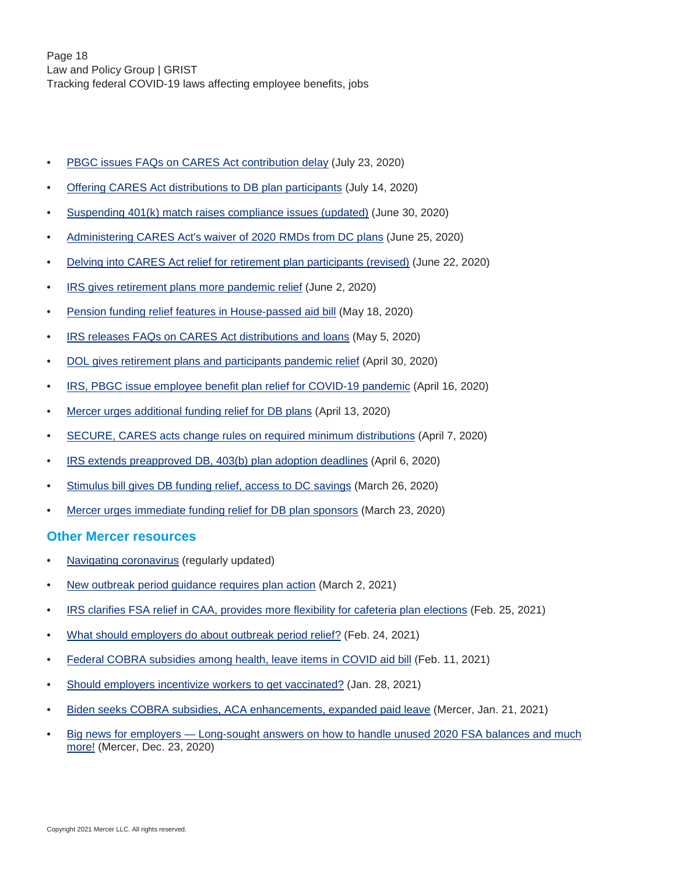- [PBGC issues FAQs on CARES Act contribution delay](https://www.mercer.com/our-thinking/law-and-policy-group/pbgc-issues-faqs-on-cares-act-contribution-delay.html) (July 23, 2020)
- [Offering CARES Act distributions to DB plan participants](https://www.mercer.com/our-thinking/law-and-policy-group/offering-cares-act-distributions-to-db-plan-participants.html) (July 14, 2020)
- [Suspending 401\(k\) match raises compliance issues \(updated\)](https://www.mercer.com/our-thinking/law-and-policy-group/suspending-401k-match-raises-compliance-issues.html) (June 30, 2020)
- [Administering CARES Act's waiver of 2020 RMDs from DC plans](https://www.mercer.com/our-thinking/law-and-policy-group/administering-cares-act-waiver-of-2020-rmds-from-dc-plans.html) (June 25, 2020)
- [Delving into CARES Act relief for retirement plan participants \(revised\)](https://www.mercer.com/our-thinking/law-and-policy-group/delving-into-cares-act-relief-for-retirement-plan-participants.html) (June 22, 2020)
- [IRS gives retirement plans more pandemic relief](https://www.mercer.com/our-thinking/law-and-policy-group/irs-gives-retirement-plans-more-pandemic-relief.html) (June 2, 2020)
- [Pension funding relief features in House-passed aid bill](https://www.mercer.com/our-thinking/law-and-policy-group/pension-funding-relief-features-in-house-passed-aid-bill.html) (May 18, 2020)
- [IRS releases FAQs on CARES Act distributions and loans](https://www.mercer.com/our-thinking/law-and-policy-group/irs-releases-faqs-on-cares-act-distributions-and-loans.html) (May 5, 2020)
- [DOL gives retirement plans and participants pandemic relief](https://www.mercer.com/our-thinking/law-and-policy-group/dol-gives-retirement-plans-and-participants-pandemic-relief.html) (April 30, 2020)
- [IRS, PBGC issue employee benefit plan relief for COVID-19 pandemic](https://www.mercer.com/our-thinking/law-and-policy-group/irs-pbgc-issue-employee-benefit-plan-relief-for-covid-19-pandemic.html) (April 16, 2020)
- [Mercer urges additional funding relief for DB plans](https://www.mercer.com/our-thinking/law-and-policy-group/mercer-urges-additional-funding-relief-for-db-plans.html) (April 13, 2020)
- [SECURE, CARES acts change rules on required minimum distributions](https://www.mercer.com/our-thinking/law-and-policy-group/secure-cares-acts-change-rules-on-required-minimum-distributions.html) (April 7, 2020)
- [IRS extends preapproved DB, 403\(b\) plan adoption deadlines](https://www.mercer.com/our-thinking/law-and-policy-group/defined-benefit-403b-preapproved-plan-adoption-deadlines-approaching.html) (April 6, 2020)
- [Stimulus bill gives DB funding relief, access to DC savings](https://www.mercer.com/our-thinking/law-and-policy-group/stimulus-bill-gives-2020-db-funding-relief-access-to-dc-savings.html) (March 26, 2020)
- [Mercer urges immediate funding relief for DB plan sponsors](https://www.mercer.com/our-thinking/law-and-policy-group/mercer-urges-immediate-funding-relief-for-db-plan-sponsors.html) (March 23, 2020)

#### **Other Mercer resources**

- [Navigating coronavirus](https://www.mercer.com/our-thinking/managing-novel-coronavirus.html) (regularly updated)
- [New outbreak period guidance requires plan action](https://www.mercer.us/our-thinking/healthcare/new-outbreak-period-guidance-requires-plan-action.html) (March 2, 2021)
- [IRS clarifies FSA relief in CAA, provides more flexibility for cafeteria plan elections](https://www.mercer.us/our-thinking/healthcare/irs-clarifies-fsa-relief-in-caa-provides-more-flexibility-for-cafeteria-plan-elections.html) (Feb. 25, 2021)
- [What should employers do about outbreak period relief?](https://www.mercer.us/our-thinking/healthcare/what-should-employers-do-about-outbreak-period-relief.html) (Feb. 24, 2021)
- [Federal COBRA subsidies among health, leave items in COVID aid bill](https://www.mercer.us/our-thinking/healthcare/federal-cobra-subsidies-among-health-leave-items-in-covid-aid-bill.html) (Feb. 11, 2021)
- [Should employers incentivize workers to get vaccinated?](https://www.mercer.us/our-thinking/healthcare/should-employers-incentivize-workers-to-get-vaccinated.html) (Jan. 28, 2021)
- [Biden seeks COBRA subsidies, ACA enhancements, expanded paid leave](https://www.mercer.us/our-thinking/healthcare/Biden-seeks-COBRA-subsidies-aca-enhancements-expanded-paid-leave.html) (Mercer, Jan. 21, 2021)
- [Big news for employers Long-sought answers on how to handle unused 2020 FSA balances and much](https://www.mercer.us/our-thinking/healthcare/big-news-for-employers-long-sought-answers-on-how-to-handle-unused-2020-FSA-balances-and-much-more.html) [more!](https://www.mercer.us/our-thinking/healthcare/big-news-for-employers-long-sought-answers-on-how-to-handle-unused-2020-FSA-balances-and-much-more.html) (Mercer, Dec. 23, 2020)